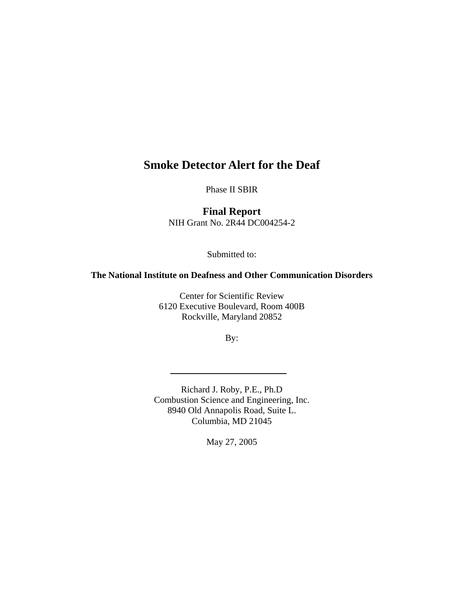# **Smoke Detector Alert for the Deaf**

Phase II SBIR

**Final Report**  NIH Grant No. 2R44 DC004254-2

Submitted to:

## **The National Institute on Deafness and Other Communication Disorders**

Center for Scientific Review 6120 Executive Boulevard, Room 400B Rockville, Maryland 20852

By:

Richard J. Roby, P.E., Ph.D Combustion Science and Engineering, Inc. 8940 Old Annapolis Road, Suite L. Columbia, MD 21045

May 27, 2005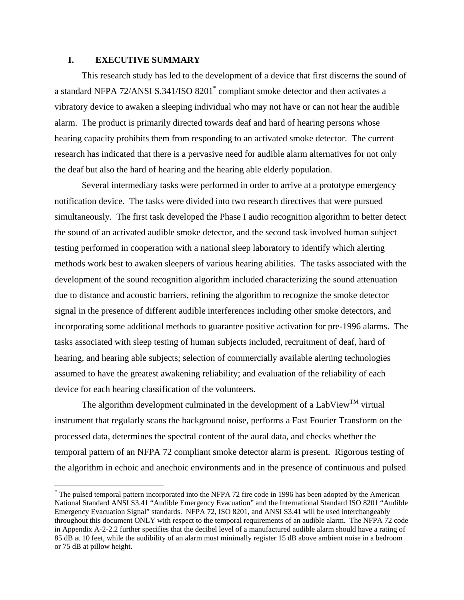## **I. EXECUTIVE SUMMARY**

 $\overline{a}$ 

This research study has led to the development of a device that first discerns the sound of a standard NFPA 72/ANSI S.341/ISO 8201<sup>\*</sup> compliant smoke detector and then activates a vibratory device to awaken a sleeping individual who may not have or can not hear the audible alarm. The product is primarily directed towards deaf and hard of hearing persons whose hearing capacity prohibits them from responding to an activated smoke detector. The current research has indicated that there is a pervasive need for audible alarm alternatives for not only the deaf but also the hard of hearing and the hearing able elderly population.

Several intermediary tasks were performed in order to arrive at a prototype emergency notification device. The tasks were divided into two research directives that were pursued simultaneously. The first task developed the Phase I audio recognition algorithm to better detect the sound of an activated audible smoke detector, and the second task involved human subject testing performed in cooperation with a national sleep laboratory to identify which alerting methods work best to awaken sleepers of various hearing abilities. The tasks associated with the development of the sound recognition algorithm included characterizing the sound attenuation due to distance and acoustic barriers, refining the algorithm to recognize the smoke detector signal in the presence of different audible interferences including other smoke detectors, and incorporating some additional methods to guarantee positive activation for pre-1996 alarms. The tasks associated with sleep testing of human subjects included, recruitment of deaf, hard of hearing, and hearing able subjects; selection of commercially available alerting technologies assumed to have the greatest awakening reliability; and evaluation of the reliability of each device for each hearing classification of the volunteers.

The algorithm development culminated in the development of a LabView<sup>TM</sup> virtual instrument that regularly scans the background noise, performs a Fast Fourier Transform on the processed data, determines the spectral content of the aural data, and checks whether the temporal pattern of an NFPA 72 compliant smoke detector alarm is present. Rigorous testing of the algorithm in echoic and anechoic environments and in the presence of continuous and pulsed

<span id="page-1-0"></span><sup>\*</sup> The pulsed temporal pattern incorporated into the NFPA 72 fire code in 1996 has been adopted by the American National Standard ANSI S3.41 "Audible Emergency Evacuation" and the International Standard ISO 8201 "Audible Emergency Evacuation Signal" standards. NFPA 72, ISO 8201, and ANSI S3.41 will be used interchangeably throughout this document ONLY with respect to the temporal requirements of an audible alarm. The NFPA 72 code in Appendix A-2-2.2 further specifies that the decibel level of a manufactured audible alarm should have a rating of 85 dB at 10 feet, while the audibility of an alarm must minimally register 15 dB above ambient noise in a bedroom or 75 dB at pillow height.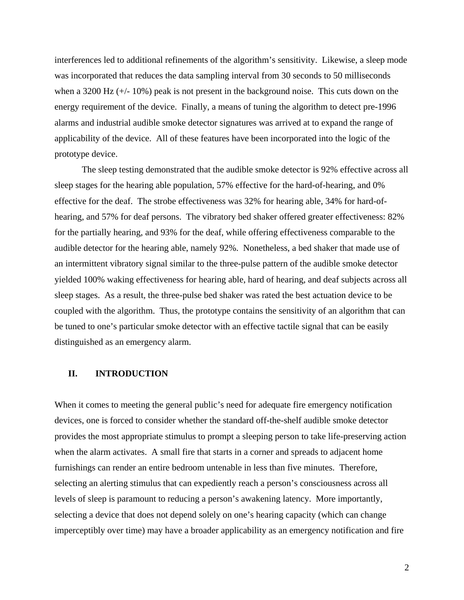interferences led to additional refinements of the algorithm's sensitivity. Likewise, a sleep mode was incorporated that reduces the data sampling interval from 30 seconds to 50 milliseconds when a 3200 Hz (+/- 10%) peak is not present in the background noise. This cuts down on the energy requirement of the device. Finally, a means of tuning the algorithm to detect pre-1996 alarms and industrial audible smoke detector signatures was arrived at to expand the range of applicability of the device. All of these features have been incorporated into the logic of the prototype device.

The sleep testing demonstrated that the audible smoke detector is 92% effective across all sleep stages for the hearing able population, 57% effective for the hard-of-hearing, and 0% effective for the deaf. The strobe effectiveness was 32% for hearing able, 34% for hard-ofhearing, and 57% for deaf persons. The vibratory bed shaker offered greater effectiveness: 82% for the partially hearing, and 93% for the deaf, while offering effectiveness comparable to the audible detector for the hearing able, namely 92%. Nonetheless, a bed shaker that made use of an intermittent vibratory signal similar to the three-pulse pattern of the audible smoke detector yielded 100% waking effectiveness for hearing able, hard of hearing, and deaf subjects across all sleep stages. As a result, the three-pulse bed shaker was rated the best actuation device to be coupled with the algorithm. Thus, the prototype contains the sensitivity of an algorithm that can be tuned to one's particular smoke detector with an effective tactile signal that can be easily distinguished as an emergency alarm.

## **II. INTRODUCTION**

When it comes to meeting the general public's need for adequate fire emergency notification devices, one is forced to consider whether the standard off-the-shelf audible smoke detector provides the most appropriate stimulus to prompt a sleeping person to take life-preserving action when the alarm activates. A small fire that starts in a corner and spreads to adjacent home furnishings can render an entire bedroom untenable in less than five minutes. Therefore, selecting an alerting stimulus that can expediently reach a person's consciousness across all levels of sleep is paramount to reducing a person's awakening latency. More importantly, selecting a device that does not depend solely on one's hearing capacity (which can change imperceptibly over time) may have a broader applicability as an emergency notification and fire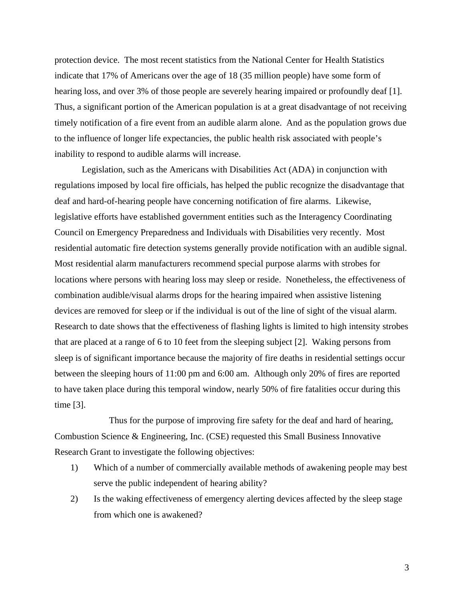protection device. The most recent statistics from the National Center for Health Statistics indicate that 17% of Americans over the age of 18 (35 million people) have some form of hearing loss, and over 3% of those people are severely hearing impaired or profoundly deaf [[1\]](#page-45-0). Thus, a significant portion of the American population is at a great disadvantage of not receiving timely notification of a fire event from an audible alarm alone. And as the population grows due to the influence of longer life expectancies, the public health risk associated with people's inability to respond to audible alarms will increase.

Legislation, such as the Americans with Disabilities Act (ADA) in conjunction with regulations imposed by local fire officials, has helped the public recognize the disadvantage that deaf and hard-of-hearing people have concerning notification of fire alarms. Likewise, legislative efforts have established government entities such as the Interagency Coordinating Council on Emergency Preparedness and Individuals with Disabilities very recently. Most residential automatic fire detection systems generally provide notification with an audible signal. Most residential alarm manufacturers recommend special purpose alarms with strobes for locations where persons with hearing loss may sleep or reside. Nonetheless, the effectiveness of combination audible/visual alarms drops for the hearing impaired when assistive listening devices are removed for sleep or if the individual is out of the line of sight of the visual alarm. Research to date shows that the effectiveness of flashing lights is limited to high intensity strobes that are placed at a range of 6 to 10 feet from the sleeping subject [[2\]](#page-45-1). Waking persons from sleep is of significant importance because the majority of fire deaths in residential settings occur between the sleeping hours of 11:00 pm and 6:00 am. Although only 20% of fires are reported to have taken place during this temporal window, nearly 50% of fire fatalities occur during this time [\[3\]](#page-45-2).

Thus for the purpose of improving fire safety for the deaf and hard of hearing, Combustion Science & Engineering, Inc. (CSE) requested this Small Business Innovative Research Grant to investigate the following objectives:

- 1) Which of a number of commercially available methods of awakening people may best serve the public independent of hearing ability?
- 2) Is the waking effectiveness of emergency alerting devices affected by the sleep stage from which one is awakened?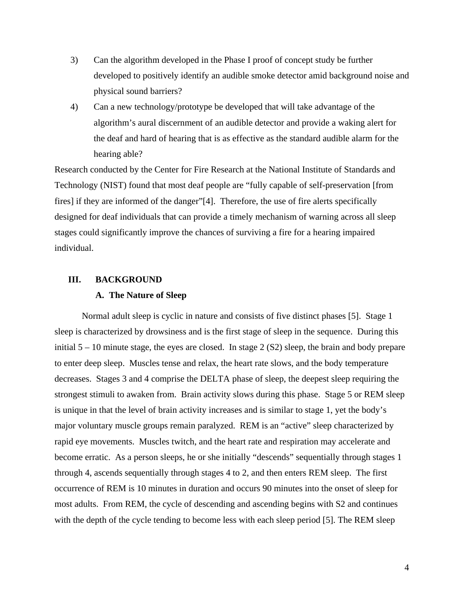- 3) Can the algorithm developed in the Phase I proof of concept study be further developed to positively identify an audible smoke detector amid background noise and physical sound barriers?
- 4) Can a new technology/prototype be developed that will take advantage of the algorithm's aural discernment of an audible detector and provide a waking alert for the deaf and hard of hearing that is as effective as the standard audible alarm for the hearing able?

Research conducted by the Center for Fire Research at the National Institute of Standards and Technology (NIST) found that most deaf people are "fully capable of self-preservation [from fires] if they are informed of the danger"[\[4\]](#page-45-3). Therefore, the use of fire alerts specifically designed for deaf individuals that can provide a timely mechanism of warning across all sleep stages could significantly improve the chances of surviving a fire for a hearing impaired individual.

## **III. BACKGROUND**

## **A. The Nature of Sleep**

Normal adult sleep is cyclic in nature and consists of five distinct phases [\[5\]](#page-45-4). Stage 1 sleep is characterized by drowsiness and is the first stage of sleep in the sequence. During this initial  $5 - 10$  minute stage, the eyes are closed. In stage 2 (S2) sleep, the brain and body prepare to enter deep sleep. Muscles tense and relax, the heart rate slows, and the body temperature decreases. Stages 3 and 4 comprise the DELTA phase of sleep, the deepest sleep requiring the strongest stimuli to awaken from. Brain activity slows during this phase. Stage 5 or REM sleep is unique in that the level of brain activity increases and is similar to stage 1, yet the body's major voluntary muscle groups remain paralyzed. REM is an "active" sleep characterized by rapid eye movements. Muscles twitch, and the heart rate and respiration may accelerate and become erratic. As a person sleeps, he or she initially "descends" sequentially through stages 1 through 4, ascends sequentially through stages 4 to 2, and then enters REM sleep. The first occurrence of REM is 10 minutes in duration and occurs 90 minutes into the onset of sleep for most adults. From REM, the cycle of descending and ascending begins with S2 and continues with the depth of the cycle tending to become less with each sleep period [5]. The REM sleep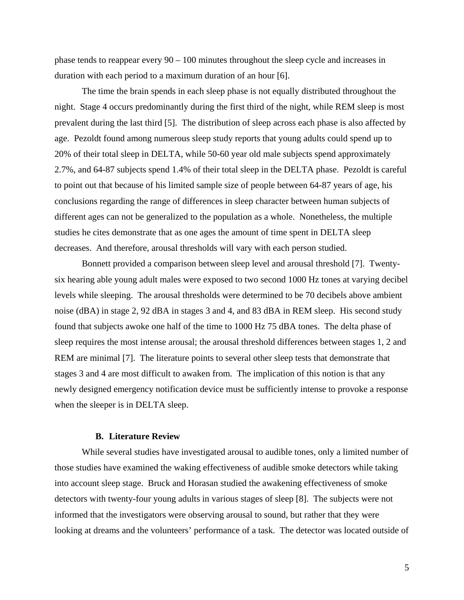phase tends to reappear every 90 – 100 minutes throughout the sleep cycle and increases in duration with each period to a maximum duration of an hour [\[6\]](#page-45-5).

The time the brain spends in each sleep phase is not equally distributed throughout the night. Stage 4 occurs predominantly during the first third of the night, while REM sleep is most prevalent during the last third [5]. The distribution of sleep across each phase is also affected by age. Pezoldt found among numerous sleep study reports that young adults could spend up to 20% of their total sleep in DELTA, while 50-60 year old male subjects spend approximately 2.7%, and 64-87 subjects spend 1.4% of their total sleep in the DELTA phase. Pezoldt is careful to point out that because of his limited sample size of people between 64-87 years of age, his conclusions regarding the range of differences in sleep character between human subjects of different ages can not be generalized to the population as a whole. Nonetheless, the multiple studies he cites demonstrate that as one ages the amount of time spent in DELTA sleep decreases. And therefore, arousal thresholds will vary with each person studied.

Bonnett provided a comparison between sleep level and arousal threshold [[7\]](#page-45-6). Twentysix hearing able young adult males were exposed to two second 1000 Hz tones at varying decibel levels while sleeping. The arousal thresholds were determined to be 70 decibels above ambient noise (dBA) in stage 2, 92 dBA in stages 3 and 4, and 83 dBA in REM sleep. His second study found that subjects awoke one half of the time to 1000 Hz 75 dBA tones. The delta phase of sleep requires the most intense arousal; the arousal threshold differences between stages 1, 2 and REM are minimal [7]. The literature points to several other sleep tests that demonstrate that stages 3 and 4 are most difficult to awaken from. The implication of this notion is that any newly designed emergency notification device must be sufficiently intense to provoke a response when the sleeper is in DELTA sleep.

#### **B. Literature Review**

While several studies have investigated arousal to audible tones, only a limited number of those studies have examined the waking effectiveness of audible smoke detectors while taking into account sleep stage. Bruck and Horasan studied the awakening effectiveness of smoke detectors with twenty-four young adults in various stages of sleep [\[8\]](#page-45-7). The subjects were not informed that the investigators were observing arousal to sound, but rather that they were looking at dreams and the volunteers' performance of a task. The detector was located outside of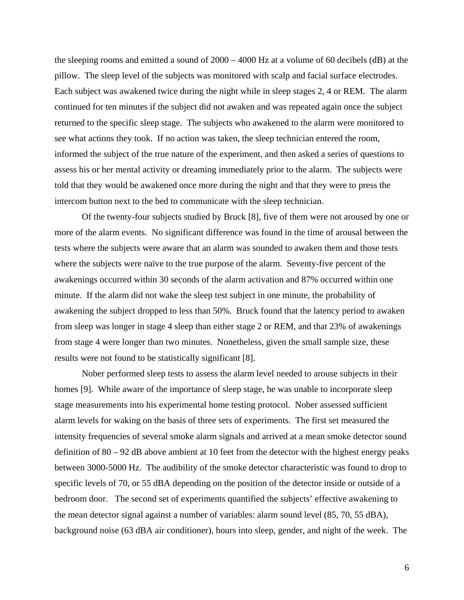the sleeping rooms and emitted a sound of 2000 – 4000 Hz at a volume of 60 decibels (dB) at the pillow. The sleep level of the subjects was monitored with scalp and facial surface electrodes. Each subject was awakened twice during the night while in sleep stages 2, 4 or REM. The alarm continued for ten minutes if the subject did not awaken and was repeated again once the subject returned to the specific sleep stage. The subjects who awakened to the alarm were monitored to see what actions they took. If no action was taken, the sleep technician entered the room, informed the subject of the true nature of the experiment, and then asked a series of questions to assess his or her mental activity or dreaming immediately prior to the alarm. The subjects were told that they would be awakened once more during the night and that they were to press the intercom button next to the bed to communicate with the sleep technician.

Of the twenty-four subjects studied by Bruck [8], five of them were not aroused by one or more of the alarm events. No significant difference was found in the time of arousal between the tests where the subjects were aware that an alarm was sounded to awaken them and those tests where the subjects were naïve to the true purpose of the alarm. Seventy-five percent of the awakenings occurred within 30 seconds of the alarm activation and 87% occurred within one minute. If the alarm did not wake the sleep test subject in one minute, the probability of awakening the subject dropped to less than 50%. Bruck found that the latency period to awaken from sleep was longer in stage 4 sleep than either stage 2 or REM, and that 23% of awakenings from stage 4 were longer than two minutes. Nonetheless, given the small sample size, these results were not found to be statistically significant [8].

Nober performed sleep tests to assess the alarm level needed to arouse subjects in their homes [\[9\]](#page-45-8). While aware of the importance of sleep stage, he was unable to incorporate sleep stage measurements into his experimental home testing protocol. Nober assessed sufficient alarm levels for waking on the basis of three sets of experiments. The first set measured the intensity frequencies of several smoke alarm signals and arrived at a mean smoke detector sound definition of 80 – 92 dB above ambient at 10 feet from the detector with the highest energy peaks between 3000-5000 Hz. The audibility of the smoke detector characteristic was found to drop to specific levels of 70, or 55 dBA depending on the position of the detector inside or outside of a bedroom door. The second set of experiments quantified the subjects' effective awakening to the mean detector signal against a number of variables: alarm sound level (85, 70, 55 dBA), background noise (63 dBA air conditioner), hours into sleep, gender, and night of the week. The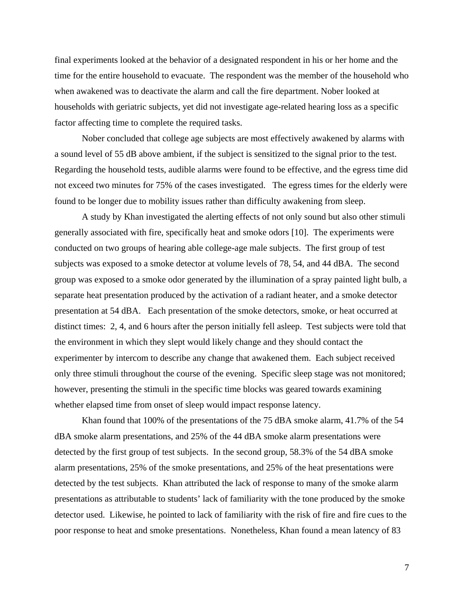final experiments looked at the behavior of a designated respondent in his or her home and the time for the entire household to evacuate. The respondent was the member of the household who when awakened was to deactivate the alarm and call the fire department. Nober looked at households with geriatric subjects, yet did not investigate age-related hearing loss as a specific factor affecting time to complete the required tasks.

Nober concluded that college age subjects are most effectively awakened by alarms with a sound level of 55 dB above ambient, if the subject is sensitized to the signal prior to the test. Regarding the household tests, audible alarms were found to be effective, and the egress time did not exceed two minutes for 75% of the cases investigated. The egress times for the elderly were found to be longer due to mobility issues rather than difficulty awakening from sleep.

A study by Khan investigated the alerting effects of not only sound but also other stimuli generally associated with fire, specifically heat and smoke odors [[10\]](#page-45-9). The experiments were conducted on two groups of hearing able college-age male subjects. The first group of test subjects was exposed to a smoke detector at volume levels of 78, 54, and 44 dBA. The second group was exposed to a smoke odor generated by the illumination of a spray painted light bulb, a separate heat presentation produced by the activation of a radiant heater, and a smoke detector presentation at 54 dBA. Each presentation of the smoke detectors, smoke, or heat occurred at distinct times: 2, 4, and 6 hours after the person initially fell asleep. Test subjects were told that the environment in which they slept would likely change and they should contact the experimenter by intercom to describe any change that awakened them. Each subject received only three stimuli throughout the course of the evening. Specific sleep stage was not monitored; however, presenting the stimuli in the specific time blocks was geared towards examining whether elapsed time from onset of sleep would impact response latency.

Khan found that 100% of the presentations of the 75 dBA smoke alarm, 41.7% of the 54 dBA smoke alarm presentations, and 25% of the 44 dBA smoke alarm presentations were detected by the first group of test subjects. In the second group, 58.3% of the 54 dBA smoke alarm presentations, 25% of the smoke presentations, and 25% of the heat presentations were detected by the test subjects. Khan attributed the lack of response to many of the smoke alarm presentations as attributable to students' lack of familiarity with the tone produced by the smoke detector used. Likewise, he pointed to lack of familiarity with the risk of fire and fire cues to the poor response to heat and smoke presentations. Nonetheless, Khan found a mean latency of 83

7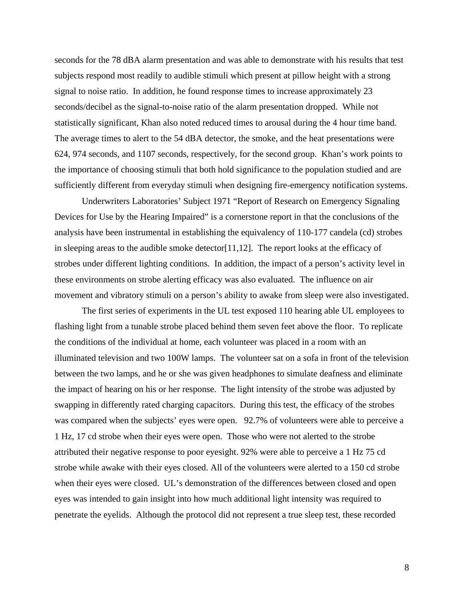seconds for the 78 dBA alarm presentation and was able to demonstrate with his results that test subjects respond most readily to audible stimuli which present at pillow height with a strong signal to noise ratio. In addition, he found response times to increase approximately 23 seconds/decibel as the signal-to-noise ratio of the alarm presentation dropped. While not statistically significant, Khan also noted reduced times to arousal during the 4 hour time band. The average times to alert to the 54 dBA detector, the smoke, and the heat presentations were 624, 974 seconds, and 1107 seconds, respectively, for the second group. Khan's work points to the importance of choosing stimuli that both hold significance to the population studied and are sufficiently different from everyday stimuli when designing fire-emergency notification systems.

Underwriters Laboratories' Subject 1971 "Report of Research on Emergency Signaling Devices for Use by the Hearing Impaired" is a cornerstone report in that the conclusions of the analysis have been instrumental in establishing the equivalency of 110-177 candela (cd) strobes in sleeping areas to the audible smoke detector[\[11,](#page-45-10)[12\]](#page-45-11). The report looks at the efficacy of strobes under different lighting conditions. In addition, the impact of a person's activity level in these environments on strobe alerting efficacy was also evaluated. The influence on air movement and vibratory stimuli on a person's ability to awake from sleep were also investigated.

The first series of experiments in the UL test exposed 110 hearing able UL employees to flashing light from a tunable strobe placed behind them seven feet above the floor. To replicate the conditions of the individual at home, each volunteer was placed in a room with an illuminated television and two 100W lamps. The volunteer sat on a sofa in front of the television between the two lamps, and he or she was given headphones to simulate deafness and eliminate the impact of hearing on his or her response. The light intensity of the strobe was adjusted by swapping in differently rated charging capacitors. During this test, the efficacy of the strobes was compared when the subjects' eyes were open. 92.7% of volunteers were able to perceive a 1 Hz, 17 cd strobe when their eyes were open. Those who were not alerted to the strobe attributed their negative response to poor eyesight. 92% were able to perceive a 1 Hz 75 cd strobe while awake with their eyes closed. All of the volunteers were alerted to a 150 cd strobe when their eyes were closed. UL's demonstration of the differences between closed and open eyes was intended to gain insight into how much additional light intensity was required to penetrate the eyelids. Although the protocol did not represent a true sleep test, these recorded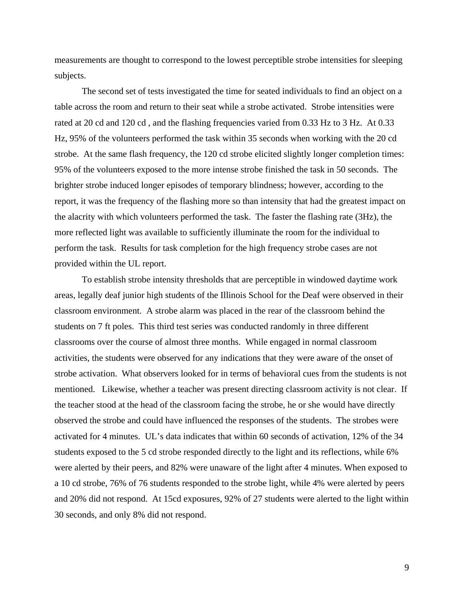measurements are thought to correspond to the lowest perceptible strobe intensities for sleeping subjects.

The second set of tests investigated the time for seated individuals to find an object on a table across the room and return to their seat while a strobe activated. Strobe intensities were rated at 20 cd and 120 cd , and the flashing frequencies varied from 0.33 Hz to 3 Hz. At 0.33 Hz, 95% of the volunteers performed the task within 35 seconds when working with the 20 cd strobe. At the same flash frequency, the 120 cd strobe elicited slightly longer completion times: 95% of the volunteers exposed to the more intense strobe finished the task in 50 seconds. The brighter strobe induced longer episodes of temporary blindness; however, according to the report, it was the frequency of the flashing more so than intensity that had the greatest impact on the alacrity with which volunteers performed the task. The faster the flashing rate (3Hz), the more reflected light was available to sufficiently illuminate the room for the individual to perform the task. Results for task completion for the high frequency strobe cases are not provided within the UL report.

To establish strobe intensity thresholds that are perceptible in windowed daytime work areas, legally deaf junior high students of the Illinois School for the Deaf were observed in their classroom environment. A strobe alarm was placed in the rear of the classroom behind the students on 7 ft poles. This third test series was conducted randomly in three different classrooms over the course of almost three months. While engaged in normal classroom activities, the students were observed for any indications that they were aware of the onset of strobe activation. What observers looked for in terms of behavioral cues from the students is not mentioned. Likewise, whether a teacher was present directing classroom activity is not clear. If the teacher stood at the head of the classroom facing the strobe, he or she would have directly observed the strobe and could have influenced the responses of the students. The strobes were activated for 4 minutes. UL's data indicates that within 60 seconds of activation, 12% of the 34 students exposed to the 5 cd strobe responded directly to the light and its reflections, while 6% were alerted by their peers, and 82% were unaware of the light after 4 minutes. When exposed to a 10 cd strobe, 76% of 76 students responded to the strobe light, while 4% were alerted by peers and 20% did not respond. At 15cd exposures, 92% of 27 students were alerted to the light within 30 seconds, and only 8% did not respond.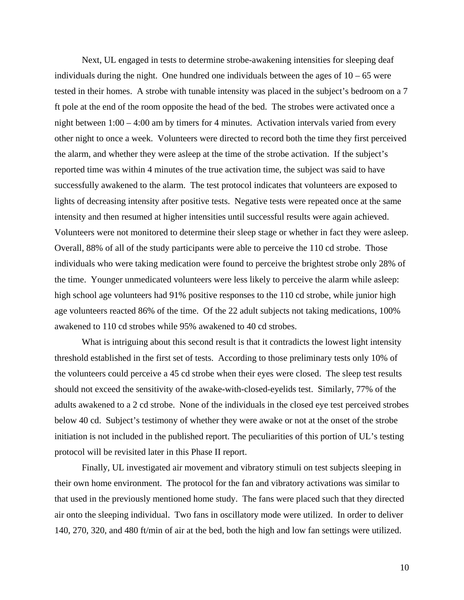Next, UL engaged in tests to determine strobe-awakening intensities for sleeping deaf individuals during the night. One hundred one individuals between the ages of  $10 - 65$  were tested in their homes. A strobe with tunable intensity was placed in the subject's bedroom on a 7 ft pole at the end of the room opposite the head of the bed. The strobes were activated once a night between 1:00 – 4:00 am by timers for 4 minutes. Activation intervals varied from every other night to once a week. Volunteers were directed to record both the time they first perceived the alarm, and whether they were asleep at the time of the strobe activation. If the subject's reported time was within 4 minutes of the true activation time, the subject was said to have successfully awakened to the alarm. The test protocol indicates that volunteers are exposed to lights of decreasing intensity after positive tests. Negative tests were repeated once at the same intensity and then resumed at higher intensities until successful results were again achieved. Volunteers were not monitored to determine their sleep stage or whether in fact they were asleep. Overall, 88% of all of the study participants were able to perceive the 110 cd strobe. Those individuals who were taking medication were found to perceive the brightest strobe only 28% of the time. Younger unmedicated volunteers were less likely to perceive the alarm while asleep: high school age volunteers had 91% positive responses to the 110 cd strobe, while junior high age volunteers reacted 86% of the time. Of the 22 adult subjects not taking medications, 100% awakened to 110 cd strobes while 95% awakened to 40 cd strobes.

What is intriguing about this second result is that it contradicts the lowest light intensity threshold established in the first set of tests. According to those preliminary tests only 10% of the volunteers could perceive a 45 cd strobe when their eyes were closed. The sleep test results should not exceed the sensitivity of the awake-with-closed-eyelids test. Similarly, 77% of the adults awakened to a 2 cd strobe. None of the individuals in the closed eye test perceived strobes below 40 cd. Subject's testimony of whether they were awake or not at the onset of the strobe initiation is not included in the published report. The peculiarities of this portion of UL's testing protocol will be revisited later in this Phase II report.

Finally, UL investigated air movement and vibratory stimuli on test subjects sleeping in their own home environment. The protocol for the fan and vibratory activations was similar to that used in the previously mentioned home study. The fans were placed such that they directed air onto the sleeping individual. Two fans in oscillatory mode were utilized. In order to deliver 140, 270, 320, and 480 ft/min of air at the bed, both the high and low fan settings were utilized.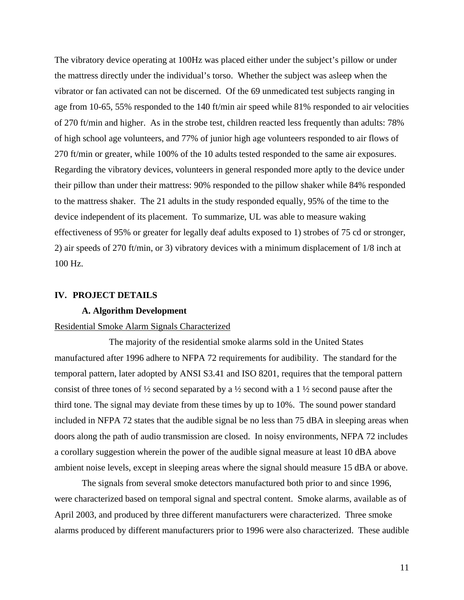The vibratory device operating at 100Hz was placed either under the subject's pillow or under the mattress directly under the individual's torso. Whether the subject was asleep when the vibrator or fan activated can not be discerned. Of the 69 unmedicated test subjects ranging in age from 10-65, 55% responded to the 140 ft/min air speed while 81% responded to air velocities of 270 ft/min and higher. As in the strobe test, children reacted less frequently than adults: 78% of high school age volunteers, and 77% of junior high age volunteers responded to air flows of 270 ft/min or greater, while 100% of the 10 adults tested responded to the same air exposures. Regarding the vibratory devices, volunteers in general responded more aptly to the device under their pillow than under their mattress: 90% responded to the pillow shaker while 84% responded to the mattress shaker. The 21 adults in the study responded equally, 95% of the time to the device independent of its placement. To summarize, UL was able to measure waking effectiveness of 95% or greater for legally deaf adults exposed to 1) strobes of 75 cd or stronger, 2) air speeds of 270 ft/min, or 3) vibratory devices with a minimum displacement of 1/8 inch at 100 Hz.

#### **IV. PROJECT DETAILS**

#### **A. Algorithm Development**

#### Residential Smoke Alarm Signals Characterized

The majority of the residential smoke alarms sold in the United States manufactured after 1996 adhere to NFPA 72 requirements for audibility. The standard for the temporal pattern, later adopted by ANSI S3.41 and ISO 8201, requires that the temporal pattern consist of three tones of  $\frac{1}{2}$  second separated by a  $\frac{1}{2}$  second with a 1  $\frac{1}{2}$  second pause after the third tone. The signal may deviate from these times by up to 10%. The sound power standard included in NFPA 72 states that the audible signal be no less than 75 dBA in sleeping areas when doors along the path of audio transmission are closed. In noisy environments, NFPA 72 includes a corollary suggestion wherein the power of the audible signal measure at least 10 dBA above ambient noise levels, except in sleeping areas where the signal should measure 15 dBA or above.

The signals from several smoke detectors manufactured both prior to and since 1996, were characterized based on temporal signal and spectral content. Smoke alarms, available as of April 2003, and produced by three different manufacturers were characterized. Three smoke alarms produced by different manufacturers prior to 1996 were also characterized. These audible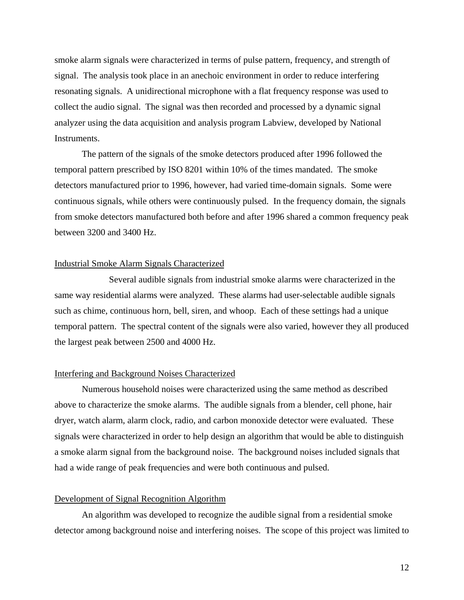smoke alarm signals were characterized in terms of pulse pattern, frequency, and strength of signal. The analysis took place in an anechoic environment in order to reduce interfering resonating signals. A unidirectional microphone with a flat frequency response was used to collect the audio signal. The signal was then recorded and processed by a dynamic signal analyzer using the data acquisition and analysis program Labview, developed by National Instruments.

The pattern of the signals of the smoke detectors produced after 1996 followed the temporal pattern prescribed by ISO 8201 within 10% of the times mandated. The smoke detectors manufactured prior to 1996, however, had varied time-domain signals. Some were continuous signals, while others were continuously pulsed. In the frequency domain, the signals from smoke detectors manufactured both before and after 1996 shared a common frequency peak between 3200 and 3400 Hz.

### Industrial Smoke Alarm Signals Characterized

Several audible signals from industrial smoke alarms were characterized in the same way residential alarms were analyzed. These alarms had user-selectable audible signals such as chime, continuous horn, bell, siren, and whoop. Each of these settings had a unique temporal pattern. The spectral content of the signals were also varied, however they all produced the largest peak between 2500 and 4000 Hz.

#### Interfering and Background Noises Characterized

Numerous household noises were characterized using the same method as described above to characterize the smoke alarms. The audible signals from a blender, cell phone, hair dryer, watch alarm, alarm clock, radio, and carbon monoxide detector were evaluated. These signals were characterized in order to help design an algorithm that would be able to distinguish a smoke alarm signal from the background noise. The background noises included signals that had a wide range of peak frequencies and were both continuous and pulsed.

#### Development of Signal Recognition Algorithm

An algorithm was developed to recognize the audible signal from a residential smoke detector among background noise and interfering noises. The scope of this project was limited to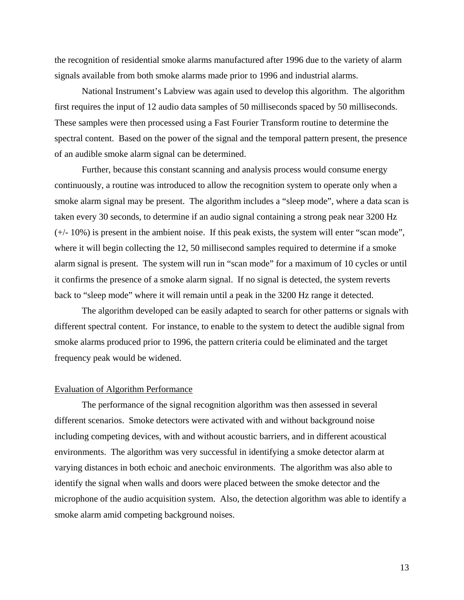the recognition of residential smoke alarms manufactured after 1996 due to the variety of alarm signals available from both smoke alarms made prior to 1996 and industrial alarms.

National Instrument's Labview was again used to develop this algorithm. The algorithm first requires the input of 12 audio data samples of 50 milliseconds spaced by 50 milliseconds. These samples were then processed using a Fast Fourier Transform routine to determine the spectral content. Based on the power of the signal and the temporal pattern present, the presence of an audible smoke alarm signal can be determined.

Further, because this constant scanning and analysis process would consume energy continuously, a routine was introduced to allow the recognition system to operate only when a smoke alarm signal may be present. The algorithm includes a "sleep mode", where a data scan is taken every 30 seconds, to determine if an audio signal containing a strong peak near 3200 Hz (+/- 10%) is present in the ambient noise. If this peak exists, the system will enter "scan mode", where it will begin collecting the 12, 50 millisecond samples required to determine if a smoke alarm signal is present. The system will run in "scan mode" for a maximum of 10 cycles or until it confirms the presence of a smoke alarm signal. If no signal is detected, the system reverts back to "sleep mode" where it will remain until a peak in the 3200 Hz range it detected.

The algorithm developed can be easily adapted to search for other patterns or signals with different spectral content. For instance, to enable to the system to detect the audible signal from smoke alarms produced prior to 1996, the pattern criteria could be eliminated and the target frequency peak would be widened.

#### Evaluation of Algorithm Performance

The performance of the signal recognition algorithm was then assessed in several different scenarios. Smoke detectors were activated with and without background noise including competing devices, with and without acoustic barriers, and in different acoustical environments. The algorithm was very successful in identifying a smoke detector alarm at varying distances in both echoic and anechoic environments. The algorithm was also able to identify the signal when walls and doors were placed between the smoke detector and the microphone of the audio acquisition system. Also, the detection algorithm was able to identify a smoke alarm amid competing background noises.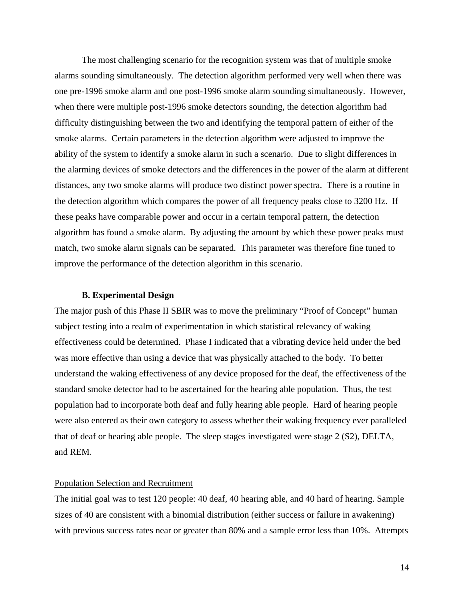The most challenging scenario for the recognition system was that of multiple smoke alarms sounding simultaneously. The detection algorithm performed very well when there was one pre-1996 smoke alarm and one post-1996 smoke alarm sounding simultaneously. However, when there were multiple post-1996 smoke detectors sounding, the detection algorithm had difficulty distinguishing between the two and identifying the temporal pattern of either of the smoke alarms. Certain parameters in the detection algorithm were adjusted to improve the ability of the system to identify a smoke alarm in such a scenario. Due to slight differences in the alarming devices of smoke detectors and the differences in the power of the alarm at different distances, any two smoke alarms will produce two distinct power spectra. There is a routine in the detection algorithm which compares the power of all frequency peaks close to 3200 Hz. If these peaks have comparable power and occur in a certain temporal pattern, the detection algorithm has found a smoke alarm. By adjusting the amount by which these power peaks must match, two smoke alarm signals can be separated. This parameter was therefore fine tuned to improve the performance of the detection algorithm in this scenario.

#### **B. Experimental Design**

The major push of this Phase II SBIR was to move the preliminary "Proof of Concept" human subject testing into a realm of experimentation in which statistical relevancy of waking effectiveness could be determined. Phase I indicated that a vibrating device held under the bed was more effective than using a device that was physically attached to the body. To better understand the waking effectiveness of any device proposed for the deaf, the effectiveness of the standard smoke detector had to be ascertained for the hearing able population. Thus, the test population had to incorporate both deaf and fully hearing able people. Hard of hearing people were also entered as their own category to assess whether their waking frequency ever paralleled that of deaf or hearing able people. The sleep stages investigated were stage 2 (S2), DELTA, and REM.

#### Population Selection and Recruitment

The initial goal was to test 120 people: 40 deaf, 40 hearing able, and 40 hard of hearing. Sample sizes of 40 are consistent with a binomial distribution (either success or failure in awakening) with previous success rates near or greater than 80% and a sample error less than 10%. Attempts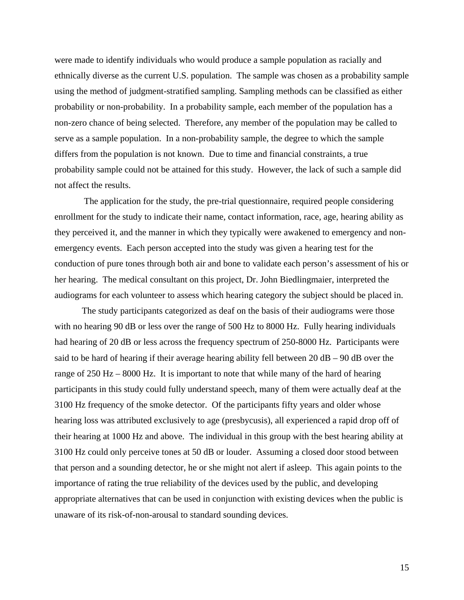were made to identify individuals who would produce a sample population as racially and ethnically diverse as the current U.S. population. The sample was chosen as a probability sample using the method of judgment-stratified sampling. Sampling methods can be classified as either probability or non-probability. In a probability sample, each member of the population has a non-zero chance of being selected. Therefore, any member of the population may be called to serve as a sample population. In a non-probability sample, the degree to which the sample differs from the population is not known. Due to time and financial constraints, a true probability sample could not be attained for this study. However, the lack of such a sample did not affect the results.

 The application for the study, the pre-trial questionnaire, required people considering enrollment for the study to indicate their name, contact information, race, age, hearing ability as they perceived it, and the manner in which they typically were awakened to emergency and nonemergency events. Each person accepted into the study was given a hearing test for the conduction of pure tones through both air and bone to validate each person's assessment of his or her hearing. The medical consultant on this project, Dr. John Biedlingmaier, interpreted the audiograms for each volunteer to assess which hearing category the subject should be placed in.

The study participants categorized as deaf on the basis of their audiograms were those with no hearing 90 dB or less over the range of 500 Hz to 8000 Hz. Fully hearing individuals had hearing of 20 dB or less across the frequency spectrum of 250-8000 Hz. Participants were said to be hard of hearing if their average hearing ability fell between  $20$  dB –  $90$  dB over the range of 250 Hz – 8000 Hz. It is important to note that while many of the hard of hearing participants in this study could fully understand speech, many of them were actually deaf at the 3100 Hz frequency of the smoke detector. Of the participants fifty years and older whose hearing loss was attributed exclusively to age (presbycusis), all experienced a rapid drop off of their hearing at 1000 Hz and above. The individual in this group with the best hearing ability at 3100 Hz could only perceive tones at 50 dB or louder. Assuming a closed door stood between that person and a sounding detector, he or she might not alert if asleep. This again points to the importance of rating the true reliability of the devices used by the public, and developing appropriate alternatives that can be used in conjunction with existing devices when the public is unaware of its risk-of-non-arousal to standard sounding devices.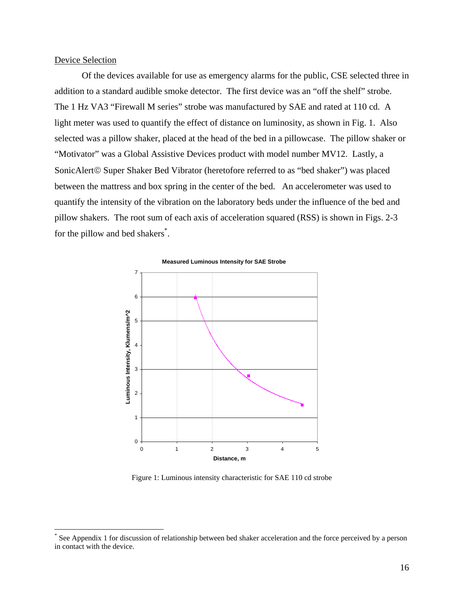#### Device Selection

 $\overline{a}$ 

Of the devices available for use as emergency alarms for the public, CSE selected three in addition to a standard audible smoke detector. The first device was an "off the shelf" strobe. The 1 Hz VA3 "Firewall M series" strobe was manufactured by SAE and rated at 110 cd. A light meter was used to quantify the effect of distance on luminosity, as shown in Fig. 1. Also selected was a pillow shaker, placed at the head of the bed in a pillowcase. The pillow shaker or "Motivator" was a Global Assistive Devices product with model number MV12. Lastly, a SonicAlert© Super Shaker Bed Vibrator (heretofore referred to as "bed shaker") was placed between the mattress and box spring in the center of the bed. An accelerometer was used to quantify the intensity of the vibration on the laboratory beds under the influence of the bed and pillow shakers. The root sum of each axis of acceleration squared (RSS) is shown in Figs. 2-3 for the pillow and bed shakers<sup>[\\*](#page-16-0)</sup>.



Figure 1: Luminous intensity characteristic for SAE 110 cd strobe

<span id="page-16-0"></span>See Appendix 1 for discussion of relationship between bed shaker acceleration and the force perceived by a person in contact with the device.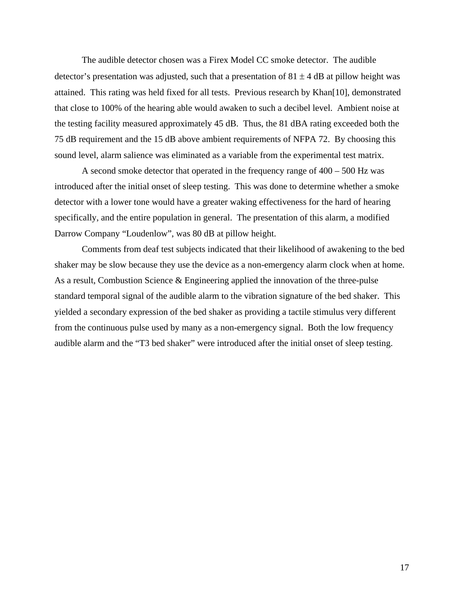The audible detector chosen was a Firex Model CC smoke detector. The audible detector's presentation was adjusted, such that a presentation of  $81 \pm 4$  dB at pillow height was attained. This rating was held fixed for all tests. Previous research by Khan[10], demonstrated that close to 100% of the hearing able would awaken to such a decibel level. Ambient noise at the testing facility measured approximately 45 dB. Thus, the 81 dBA rating exceeded both the 75 dB requirement and the 15 dB above ambient requirements of NFPA 72. By choosing this sound level, alarm salience was eliminated as a variable from the experimental test matrix.

A second smoke detector that operated in the frequency range of 400 – 500 Hz was introduced after the initial onset of sleep testing. This was done to determine whether a smoke detector with a lower tone would have a greater waking effectiveness for the hard of hearing specifically, and the entire population in general. The presentation of this alarm, a modified Darrow Company "Loudenlow", was 80 dB at pillow height.

Comments from deaf test subjects indicated that their likelihood of awakening to the bed shaker may be slow because they use the device as a non-emergency alarm clock when at home. As a result, Combustion Science & Engineering applied the innovation of the three-pulse standard temporal signal of the audible alarm to the vibration signature of the bed shaker. This yielded a secondary expression of the bed shaker as providing a tactile stimulus very different from the continuous pulse used by many as a non-emergency signal. Both the low frequency audible alarm and the "T3 bed shaker" were introduced after the initial onset of sleep testing.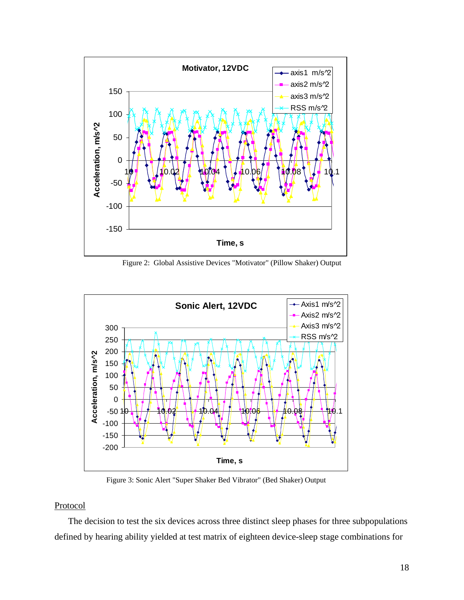

Figure 2: Global Assistive Devices "Motivator" (Pillow Shaker) Output



Figure 3: Sonic Alert "Super Shaker Bed Vibrator" (Bed Shaker) Output

#### Protoco l

The decision to test the six devices across three distinct sleep phases for three subpopulations defined by hearing ability yielded at test matrix of eighteen device-sleep stage combinations for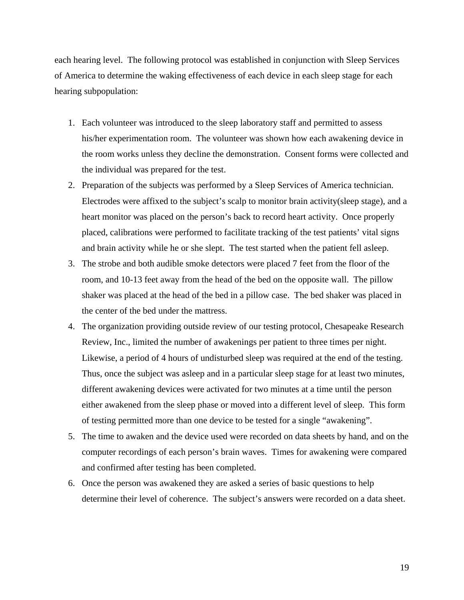each hearing level. The following protocol was established in conjunction with Sleep Services of A merica to determine the waking effectiveness of each device in each sleep stage for each hearing subpopulation:

- his/her experimentation room. The volunteer was shown how each awakening device in the room works unless they decline the demonstration. Consent forms were collected and 1. Each volunteer was introduced to the sleep laboratory staff and permitted to assess the individual was prepared for the test.
- 2. Preparation of the subjects was performed by a Sleep Services of America technician. heart monitor was placed on the person's back to record heart activity. Once properly Electrodes were affixed to the subject's scalp to monitor brain activity(sleep stage), and a placed, calibrations were performed to facilitate tracking of the test patients' vital signs and brain activity while he or she slept. The test started when the patient fell asleep.
- 3. The strobe and both audible smoke detectors were placed 7 feet from the floor of the shaker was placed at the head of the bed in a pillow case. The bed shaker was placed in room, and 10-13 feet away from the head of the bed on the opposite wall. The pillow the center of the bed under the mattress.
- 4. The organization providing outside review of our testing protocol, Chesapeake Research Likewise, a period of 4 hours of undisturbed sleep was required at the end of the testing. Review, Inc., limited the number of awakenings per patient to three times per night. Thus, once the subject was asleep and in a particular sleep stage for at least two minutes, different awakening devices were activated for two minutes at a time until the person either awakened from the sleep phase or moved into a different level of sleep. This form of testing permitted more than one device to be tested for a single "awakening".
- 5. The time to awaken and the device used were recorded on data sheets by hand, and on the computer recordings of each person's brain waves. Times for awakening were compared and confirmed after testing has been completed.
- 6. Once the person was awakened they are asked a series of basic questions to help determine their level of coherence. The subject's answers were recorded on a data sheet.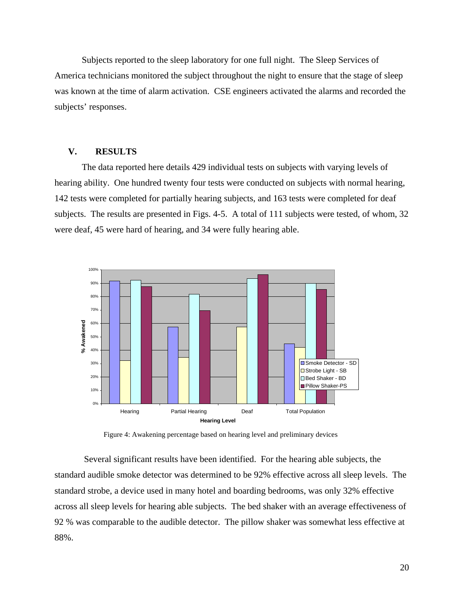Subjects reported to the sleep laboratory for one full night. The Sleep Services of America technicians monitored the subject throughout the night to ensure that the stage of sleep was known at the time of alarm activation. CSE engineers activated the alarms and recorded the subject s' responses.

### **V. RESULTS**

The data reported here details 429 individual tests on subjects with varying levels of hearing ability. One hundred twenty four tests were conducted on subjects with normal hearing, 142 tests were completed for partially hearing subjects, and 163 tests were completed for deaf subjects. The results are presented in Figs. 4-5. A total of 111 subjects were tested, of whom, 32 were deaf, 45 were hard of hearing, and 34 were fully hearing able.



Figure 4: Awakening percentage based on hearing level and preliminary devices

across all sleep levels for hearing able subjects. The bed shaker with an average effectiveness of Several significant results have been identified. For the hearing able subjects, the standard audible smoke detector was determined to be 92% effective across all sleep levels. The standard strobe, a device used in many hotel and boarding bedrooms, was only 32% effective 92 % was comparable to the audible detector. The pillow shaker was somewhat less effective at 88%.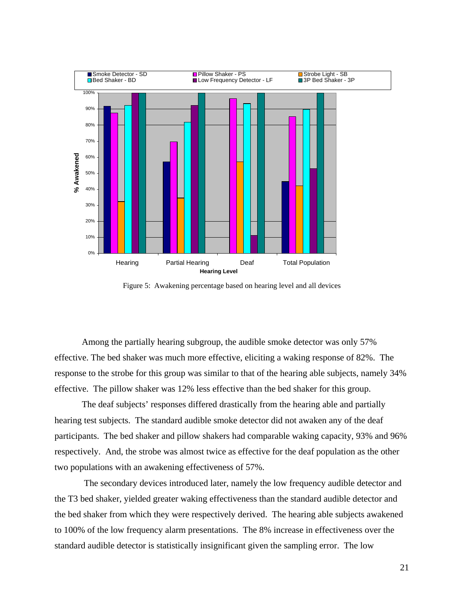

Figure 5: Awakening percentage based on hearing level and all devices

Among the partially hearing subgroup, the audible smoke detector was only 57% effective. The bed shaker was much more effective, eliciting a waking response of 82%. The response to the strobe for this group was similar to that of the hearing able subjects, namely 34% effective. The pillow shaker was 12 % less effective than the bed shaker for this group.

respectively. And, the strobe was almost twice as effective for the deaf population as the other The deaf subjects' responses differed drastically from the hearing able and partially hearing test subjects. The standard audible smoke detector did not awaken any of the deaf participants. The bed shaker and pillow shakers had comparable waking capacity, 93% and 96% two populations with an awakening effectiveness of 57%.

the bed shaker from which they were respectively derived. The hearing able subjects awakened to 100% of the low frequency alarm presentations. The 8% increase in effectiveness over the standard audible detector is statistically insignificant given the sampling error. The low The secondary devices introduced later, namely the low frequency audible detector and the T3 bed shaker, yielded greater waking effectiveness than the standard audible detector and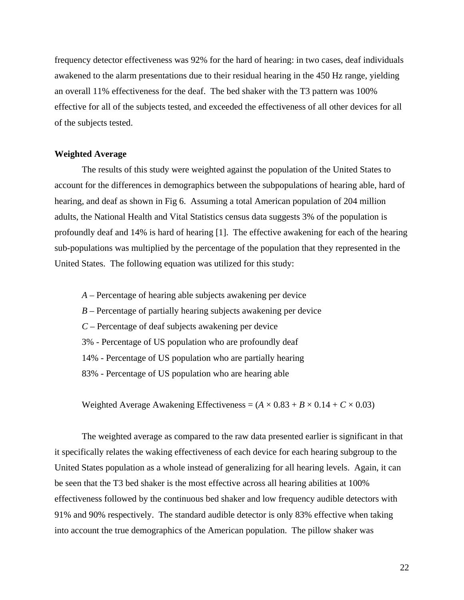frequen cy detector effectiveness was 92% for the hard of hearing: in two cases, deaf individuals effective for all of the subjects tested, and exceeded the effectiveness of all other devices for all awakened to the alarm presentations due to their residual hearing in the 450 Hz range, yielding an overall 11% effectiveness for the deaf. The bed shaker with the T3 pattern was 100% of the subjects tested.

#### **Weighted Average**

The results of this study were weighted against the population of the United States to hearing, and deaf as shown in Fig 6. Assuming a total American population of 204 million adults, the National Health and Vital Statistics census data suggests 3% of the population is profoundly deaf and 14% is hard of hearing [1]. The effective awakening for each of the hearing sub-populations was multiplied by the percentage of the population that they represented in the account for the differences in demographics between the subpopulations of hearing able, hard of United States. The following equation was utilized for this study:

- *A* Percentage of hearing able subjects awakening per device
- *B* Percentage of partially hearing subjects awakening per device
- *C* Percentage of deaf subjects awakening per device
- 3% Percentage of US population who are profoundly deaf
- 4% Percentage of US population who are partially hearing 1
- 83% Percentage of US population who are hearing able

Weighted Average Awakening Effectiveness =  $(A \times 0.83 + B \times 0.14 + C \times 0.03)$ 

The weighted average as compared to the raw data presented earlier is significant in that it specifically relates the waking effectiveness of each device for each hearing subgroup to the United States population as a whole instead of generalizing for all hearing levels. Again, it can be seen that the T3 bed shaker is the most effective across all hearing abilities at 100% effectiveness followed by the continuous bed shaker and low frequency audible detectors with 91% an d 90% respectively. The standard audible detector is only 83% effective when taking into account the true demographics of the American population. The pillow shaker was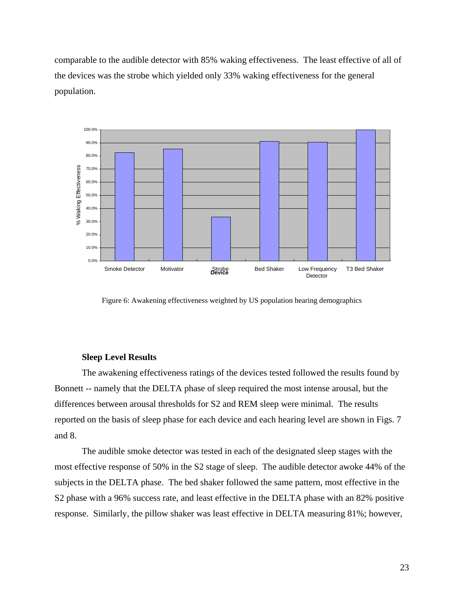comparable to the audible detector with 85% waking effectiveness. The least effective of all of the devices was the strobe which yielded only 33% waking effectiveness for the general population.



Figure 6: Awakening effectiveness weighted by US population hearing demographics

#### **Sleep Level Results**

The awakening effectiveness ratings of the devices tested followed the results found by Bonnett -- na mely that the DELTA phase of sleep required the most intense arousal, but the differences between arousal thresholds for S2 and REM sleep were minimal. The results reported on the basis of sleep phase for each device and each hearing level are shown in Figs. 7 and 8.

most effective response of 50% in the S2 stage of sleep. The audible detector awoke 44% of the subjects in the DELTA phase. The bed shaker followed the same pattern, most effective in the response. Similarly, the pillow shaker was least effective in DELTA measuring 81%; however, The audible smoke detector was tested in each of the designated sleep stages with the S2 phase with a 96% success rate, and least effective in the DELTA phase with an 82% positive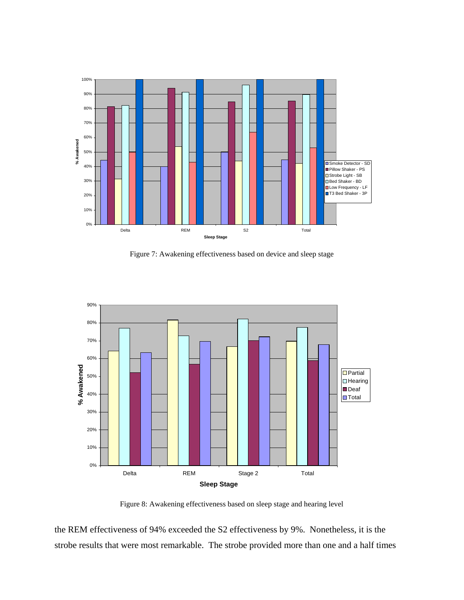

Figure 7: Awakening effectiveness based on device and sleep stage



Figure 8: Awakening effectiveness based on sleep stage and hearing level

the REM effectiveness of 94% exceeded the S2 effectiveness by 9%. Nonetheless, it is the strobe results that were most remarkable. The strobe provided more than one and a half times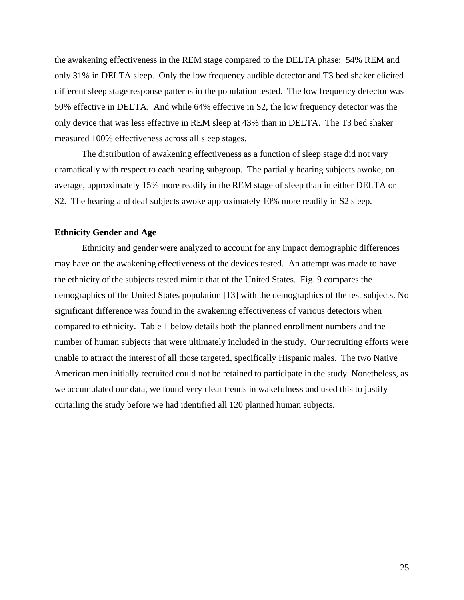m easured 100% effectiveness across all sleep stages. the awakening effectiveness in the REM stage compared to the DELTA phase: 54% REM and only 31% in DELTA sleep. Only the low frequency audible detector and T3 bed shaker elicited different sleep stage response patterns in the population tested. The low frequency detector was 50% effective in DELTA. And while 64% effective in S2, the low frequency detector was the only device that was less effective in REM sleep at 43% than in DELTA. The T3 bed shaker

dram atically with respect to each hearing subgroup. The partially hearing subjects awoke, on The distribution of awakening effectiveness as a function of sleep stage did not vary average, approximately 15% more readily in the REM stage of sleep than in either DELTA or S2. The hearing and deaf subjects awoke approximately 10% more readily in S2 sleep.

#### **Ethnicity Gender and Age**

may have on the awakening effectiveness of the devices tested. An attempt was made to have the ethnicity of the subjects tested mimic that of the United States. Fig. 9 compares the demographics of the United States population [\[13\]](#page-45-12) with the demographics of the test subjects. No significant difference was found in the awakening effectiveness of various detectors when compared to ethnicity. Table 1 below details both the planned enrollment numbers and the number of human subjects that were ultimately included in the study. Our recruiting efforts were unable to attract the interest of all those targeted, specifically Hispanic males. The two Native American men initially recruited could not be retained to participate in the study. Nonetheless, as we accumulated our data, we found very clear trends in wakefulness and used this to justify curtailing the study before we had identified all 120 planned human subjects. Ethnicity and gender were analyzed to account for any impact demographic differences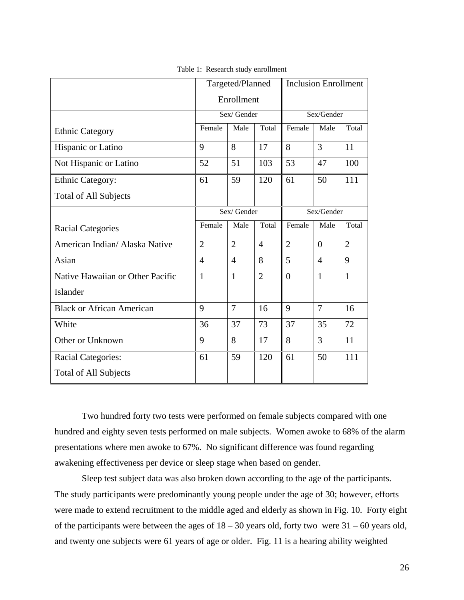|                                  |                | Targeted/Planned |                | <b>Inclusion Enrollment</b> |                |                |
|----------------------------------|----------------|------------------|----------------|-----------------------------|----------------|----------------|
|                                  |                | Enrollment       |                |                             |                |                |
|                                  | Sex/Gender     |                  |                | Sex/Gender                  |                |                |
| <b>Ethnic Category</b>           | Female         | Male             | Total          | Female                      | Male           | Total          |
| Hispanic or Latino               | 9              | 8                | 17             | 8                           | $\overline{3}$ | 11             |
| Not Hispanic or Latino           | 52             | 51               | 103            | 53                          | 47             | 100            |
| Ethnic Category:                 | 61             | 59               | 120            | 61                          | 50             | 111            |
| <b>Total of All Subjects</b>     |                |                  |                |                             |                |                |
|                                  | Sex/Gender     |                  |                | Sex/Gender                  |                |                |
| <b>Racial Categories</b>         | Female         | Male             | Total          | Female                      | Male           | Total          |
| American Indian/ Alaska Native   | $\overline{2}$ | $\overline{2}$   | $\overline{4}$ | $\overline{2}$              | $\overline{0}$ | $\overline{2}$ |
| Asian                            | $\overline{4}$ | $\overline{4}$   | 8              | 5                           | $\overline{4}$ | 9              |
| Native Hawaiian or Other Pacific | $\mathbf{1}$   | $\mathbf{1}$     | $\overline{2}$ | $\overline{0}$              | $\mathbf{1}$   | $\mathbf{1}$   |
| Islander                         |                |                  |                |                             |                |                |
| <b>Black or African American</b> | 9              | $\overline{7}$   | 16             | 9                           | $\overline{7}$ | 16             |
| White                            | 36             | 37               | 73             | 37                          | 35             | 72             |
| Other or Unknown                 | 9              | 8                | 17             | 8                           | 3              | 11             |
| <b>Racial Categories:</b>        | 61             | 59               | 120            | 61                          | 50             | 111            |
| <b>Total of All Subjects</b>     |                |                  |                |                             |                |                |

Table 1: Research study enrollment

Two hundred forty two tests were performed on female subjects compared with one hundred and eighty seven tests performed on male subjects. Women awoke to 68% of the alarm presentations where men awoke to 67%. No significant difference was found regarding awakening effectiveness per device or sleep stage when based on gender.

Sleep test subject data was also broken down according to the age of the participants. The study participants were predominantly young people under the age of 30; however, efforts were made to extend recruitment to the middle aged and elderly as shown in Fig. 10. Forty eight of the participants were between the ages of  $18 - 30$  years old, forty two were  $31 - 60$  years old, and twenty one subjects were 61 years of age or older. Fig. 11 is a hearing ability weighted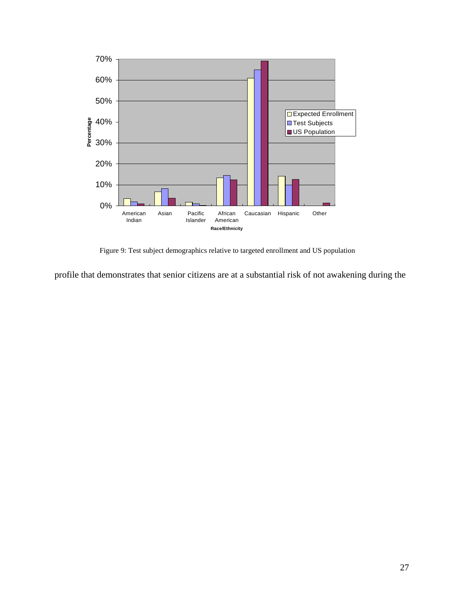

Figure 9: Test subject demographics relative to targeted enrollment and US population

profile that demonstrates that senior citizens are at a substantial risk of not awakening during the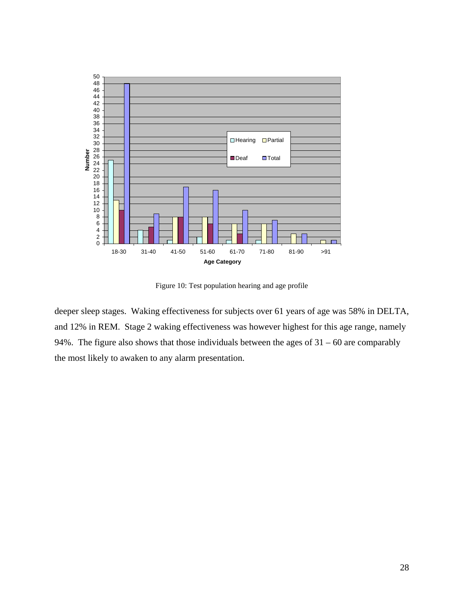

Figure 10: Test population hearing and age profile

deeper sleep stages. Waking effectiveness for subjects over 61 years of age was 58% in DELTA, and 12% in REM. Stage 2 waking effectiveness was however highest for this age range, namely 94%. The figure also shows that those individuals between the ages of  $31 - 60$  are comparably the most likely to awaken to any alarm presentation.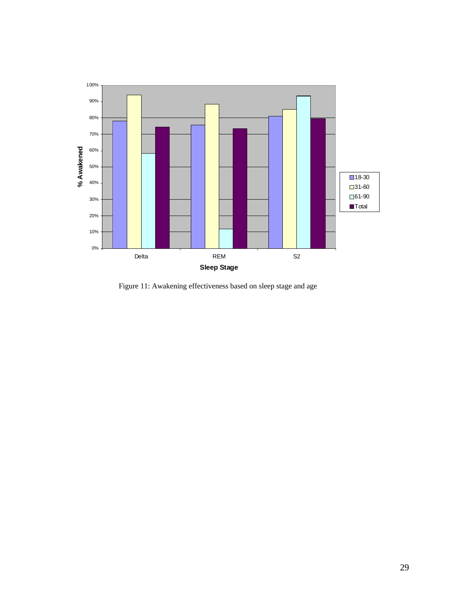

Figure 11: Awakening effectiveness based on sleep stage and age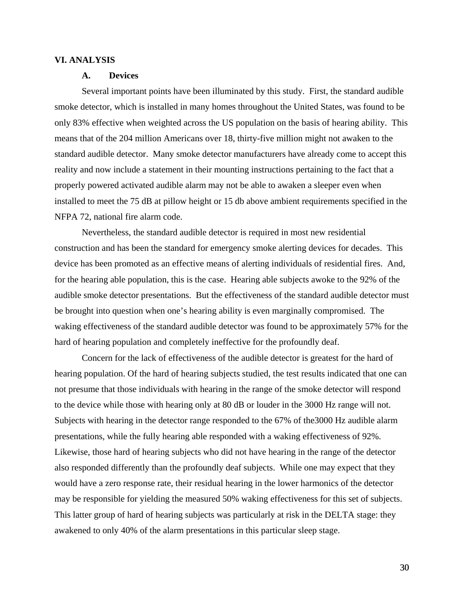#### **VI. ANALYSIS**

#### **A. Devices**

sm oke detector, which is installed in many homes throughout the United States, was found to be m eans that of the 204 million Americans over 18, thirty-five million might not awaken to the Several important points have been illuminated by this study. First, the standard audible only 83% effective when weighted across the US population on the basis of hearing ability. This standard audible detector. Many smoke detector manufacturers have already come to accept this reality and now include a statement in their mounting instructions pertaining to the fact that a properly powered activated audible alarm may not be able to awaken a sleeper even when installed to meet the 75 dB at pillow height or 15 db above ambient requirements specified in the NFPA 72, national fire alarm code.

audible smoke detector presentations. But the effectiveness of the standard audible detector must be brought into question when one's hearing ability is even marginally compromised. The waking effectiveness of the standard audible detector was found to be approximately 57% for the hard of hearing population and completely ineffective for the profoundly deaf. Nevertheless, the standard audible detector is required in most new residential construction and has been the standard for emergency smoke alerting devices for decades. This device has been promoted as an effective means of alerting individuals of residential fires. And, for the hearing able population, this is the case. Hearing able subjects awoke to the 92% of the

Concern for the lack of effectiveness of the audible detector is greatest for the hard of hearing population. Of the hard of hearing subjects studied, the test results indicated that one can not presume that those individuals with hearing in the range of the smoke detector will respond to the device while those with hearing only at 80 dB or louder in the 3000 Hz range will not. Subjects with hearing in the detector range responded to the 67% of the3000 Hz audible alarm presentations, while the fully hearing able responded with a waking effectiveness of 92%. Likewise, those hard of hearing subjects who did not have hearing in the range of the detector also responded differently than the profoundly deaf subjects. While one may expect that they would have a zero response rate, their residual hearing in the lower harmonics of the detector may be responsible for yielding the measured 50% waking effectiveness for this set of subjects. This latter group of hard of hearing subjects was particularly at risk in the DELTA stage: they awakened to only 40% of the alarm presentations in this particular sleep stage.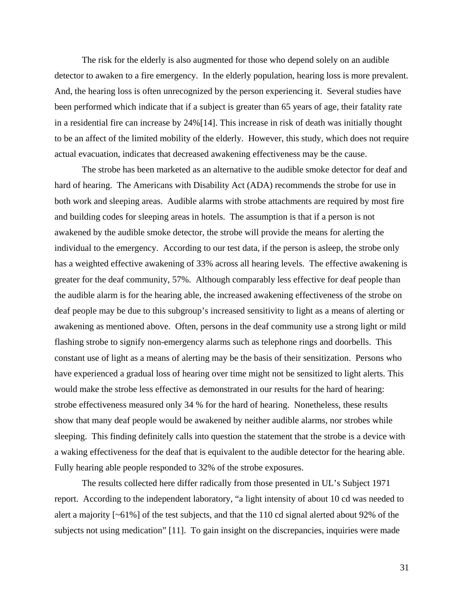The risk for the elderly is also augmented for those who depend solely on an audible detector to awaken to a fire emergency. In the elderly population, hearing loss is more prevalent. And, th e hearing loss is often unrecognized by the person experiencing it. Several studies have to be an affect of the limited mobility of the elderly. However, this study, which does not require been performed which indicate that if a subject is greater than 65 years of age, their fatality rate in a residential fire can increase by 24%[\[14\]](#page-45-13). This increase in risk of death was initially thought actual evacuation, indicates that decreased awakening effectiveness may be the cause.

The strobe has been marketed as an alternative to the audible smoke detector for deaf and hard of hearing. The Americans with Disability Act (ADA) recommends the strobe for use in and building codes for sleeping areas in hotels. The assumption is that if a person is not awakened by the audible smoke detector, the strobe will provide the means for alerting the deaf people may be due to this subgroup's increased sensitivity to light as a means of alerting or flashing strobe to signify non-emergency alarms such as telephone rings and doorbells. This constant use of light as a means of alerting may be the basis of their sensitization. Persons who sleeping. This finding definitely calls into question the statement that the strobe is a device with . a waking effectiveness for the deaf that is equivalent to the audible detector for the hearing able both work and sleeping areas. Audible alarms with strobe attachments are required by most fire individual to the emergency. According to our test data, if the person is asleep, the strobe only has a weighted effective awakening of 33% across all hearing levels. The effective awakening is greater for the deaf community, 57%. Although comparably less effective for deaf people than the audible alarm is for the hearing able, the increased awakening effectiveness of the strobe on awakening as mentioned above. Often, persons in the deaf community use a strong light or mild have experienced a gradual loss of hearing over time might not be sensitized to light alerts. This would make the strobe less effective as demonstrated in our results for the hard of hearing: strobe effectiveness measured only 34 % for the hard of hearing. Nonetheless, these results show that many deaf people would be awakened by neither audible alarms, nor strobes while Fully hearing able people responded to 32% of the strobe exposures.

subjects not using medication" [11]. To gain insight on the discrepancies, inquiries were made The results collected here differ radically from those presented in UL's Subject 1971 report. According to the independent laboratory, "a light intensity of about 10 cd was needed to alert a majority [~61%] of the test subjects, and that the 110 cd signal alerted about 92% of the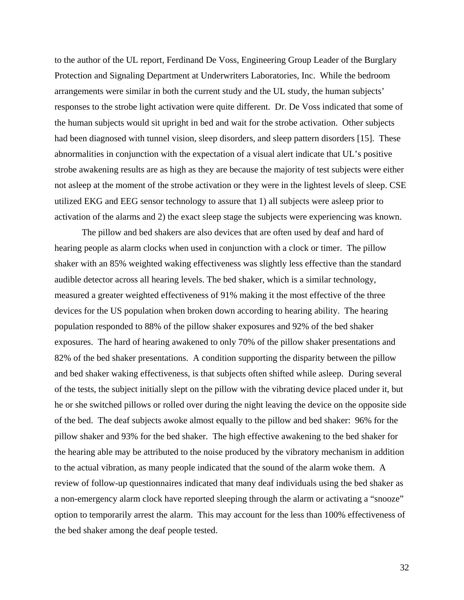to the a uthor of the UL report, Ferdinand De Voss, Engineering Group Leader of the Burglary abnormalities in conjunction with the expectation of a visual alert indicate that UL's positive strobe a wakening results are as high as they are because the majority of test subjects were either not asleep at the moment of the strobe activation or they were in the lightest levels of sleep. CSE activation of the alarms and 2) the exact sleep stage the subjects were experiencing was known. Protection and Signaling Department at Underwriters Laboratories, Inc. While the bedroom arrangements were similar in both the current study and the UL study, the human subjects' responses to the strobe light activation were quite different. Dr. De Voss indicated that some of the human subjects would sit upright in bed and wait for the strobe activation. Other subjects had been diagnosed with tunnel vision, sleep disorders, and sleep pattern disorders [\[15\]](#page-45-14). These utilized EKG and EEG sensor technology to assure that 1) all subjects were asleep prior to

of the tests, the subject initially slept on the pillow with the vibrating device placed under it, but he or she switched pillows or rolled over during the night leaving the device on the opposite side to the actual vibration, as many people indicated that the sound of the alarm woke them. A review of follow-up questionnaires indicated that many deaf individuals using the bed shaker as The pillow and bed shakers are also devices that are often used by deaf and hard of hearing people as alarm clocks when used in conjunction with a clock or timer. The pillow shaker with an 85% weighted waking effectiveness was slightly less effective than the standard audible detector across all hearing levels. The bed shaker, which is a similar technology, measured a greater weighted effectiveness of 91% making it the most effective of the three devices for the US population when broken down according to hearing ability. The hearing population responded to 88% of the pillow shaker exposures and 92% of the bed shaker exposures. The hard of hearing awakened to only 70% of the pillow shaker presentations and 82% of the bed shaker presentations. A condition supporting the disparity between the pillow and bed shaker waking effectiveness, is that subjects often shifted while asleep. During several of the bed. The deaf subjects awoke almost equally to the pillow and bed shaker: 96% for the pillow shaker and 93% for the bed shaker. The high effective awakening to the bed shaker for the hearing able may be attributed to the noise produced by the vibratory mechanism in addition a non-emergency alarm clock have reported sleeping through the alarm or activating a "snooze" option to temporarily arrest the alarm. This may account for the less than 100% effectiveness of the bed shaker among the deaf people tested.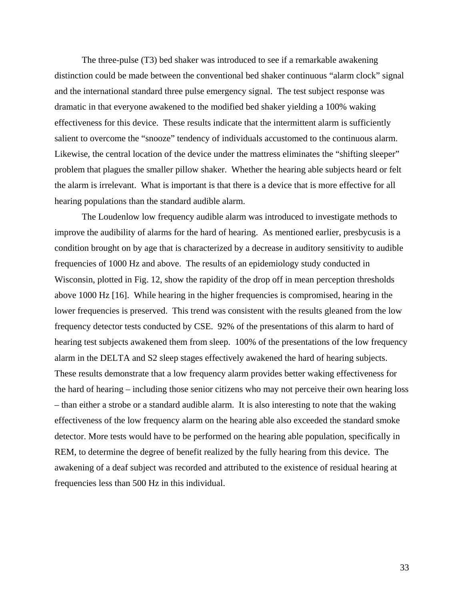The three-pulse (T3) bed shaker was introduced to see if a remarkable awakening distinction could be made between the conventional bed shaker continuous "alarm clock" sign al and the international standard three pulse emergency signal. The test subject response was dramatic in that everyone awakened to the modified bed shaker yielding a 100% waking effectiveness for this device. These results indicate that the intermittent alarm is sufficiently salient to overcome the "snooze" tendency of individuals accustomed to the continuous alarm. Likewise, the central location of the device under the mattress eliminates the "shifting sleeper" problem that plagues the smaller pillow shaker. Whether the hearing able subjects heard or felt the alarm is irrelevant. What is important is that there is a device that is more effective for all hearing populations than the standard audible alarm.

The Loudenlow low frequency audible alarm was introduced to investigate methods to improve the audibility of alarms for the hard of hearing. As mentioned earlier, presbycusis is a condition brought on by age that is characterized by a decrease in auditory sensitivity to audible Wisconsin, plotted in Fig. 12, show the rapidity of the drop off in mean perception thresholds lower frequencies is preserved. This trend was consistent with the results gleaned from the low frequency detector tests conducted by CSE. 92% of the presentations of this alarm to hard of hearing test subjects awakened them from sleep. 100% of the presentations of the low frequency awakening of a deaf subject was recorded and attributed to the existence of residual hearing at frequencies of 1000 Hz and above. The results of an epidemiology study conducted in above 1000 Hz [[16\]](#page-45-15). While hearing in the higher frequencies is compromised, hearing in the alarm in the DELTA and S2 sleep stages effectively awakened the hard of hearing subjects. These results demonstrate that a low frequency alarm provides better waking effectiveness for the hard of hearing – including those senior citizens who may not perceive their own hearing loss – than either a strobe or a standard audible alarm. It is also interesting to note that the waking effectiveness of the low frequency alarm on the hearing able also exceeded the standard smoke detector. More tests would have to be performed on the hearing able population, specifically in REM, to determine the degree of benefit realized by the fully hearing from this device. The frequencies less than 500 Hz in this individual.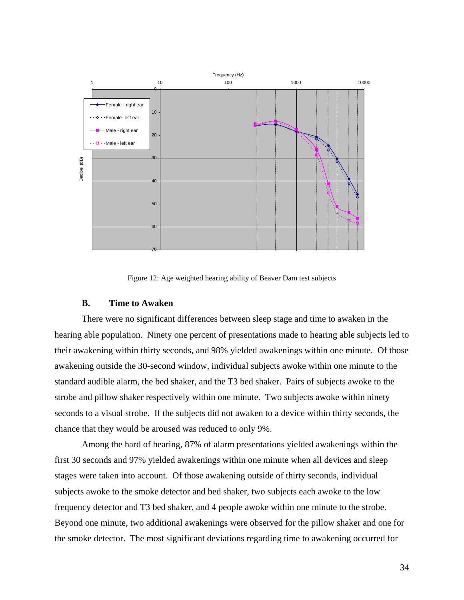

Figure 12: Age weighted hearing ability of Beaver Dam test subjects

#### **B. Time to Awaken**

There were no significant differences between sleep stage and time to awaken in the hearing able population. Ninety one percent of presentations made to hearing able subjects led to their awakening within thirty seconds, and 98% yielded awakenings within one minute. Of those awakening outside the 30-second window, individual subjects awoke within one minute to the standard audible alarm, the bed shaker, and the T3 bed shaker. Pairs of subjects awoke to the strobe and pillow shaker respectively within one minute. Two subjects awoke within ninety seconds to a visual strobe. If the subjects did not awaken to a device within thirty seconds, the chance that they would be aroused was reduced to only 9%.

Among the hard of hearing, 87% of alarm presentations yielded awakenings within the first 30 seconds and 97% yielded awakenings within one minute when all devices and sleep stages were taken into account. Of those awakening outside of thirty seconds, individual subjects awoke to the smoke detector and bed shaker, two subjects each awoke to the low frequency detector and T3 bed shaker, and 4 people awoke within one minute to the strobe. Beyond one minute, two additional awakenings were observed for the pillow shaker and one for the smoke detector. The most significant deviations regarding time to awakening occurred for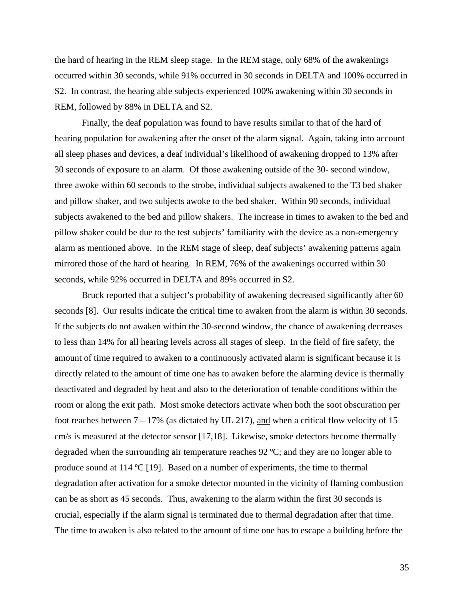the hard of hearing in the REM sleep stage. In the REM stage, only 68% of the awakenings REM, followed by 88% in DELTA and S2. occurred within 30 seconds, while 91% occurred in 30 seconds in DELTA and 100% occurred in S2. In contrast, the hearing able subjects experienced 100% awakening within 30 seconds in

Finally, the deaf population was found to have results similar to that of the hard of hearing population for awakening after the onset of the alarm signal. Again, taking into account all sleep phases and devices, a deaf individual's likelihood of awakening dropped to 13% after 30 seconds of exposure to an alarm. Of those awakening outside of the 30- second window, three awoke within 60 seconds to the strobe, individual subjects awakened to the T3 bed shaker and pillow shaker, and two subjects awoke to the bed shaker. Within 90 seconds, individual subjects awakened to the bed and pillow shakers. The increase in times to awaken to the bed and pillow shaker could be due to the test subjects' familiarity with the device as a non-emergency alarm as mentioned above. In the REM stage of sleep, deaf subjects' awakening patterns again mirrored those of the hard of hearing. In REM, 76% of the awakenings occurred within 30 seconds, while 92% occurred in DELTA and 89% occurred in S2.

Bruck reported that a subject's probability of awakening decreased significantly after 60 seconds [8]. Our results indicate the critical time to awaken from the alarm is within 30 seconds. If the subjects do not awaken within the 30-second window, the chance of awakening decreases to less than 14% for all hearing levels across all stages of sleep. In the field of fire safety, the amount of time required to awaken to a continuously activated alarm is significant because it is directly related to the amount of time one has to awaken before the alarming device is thermally deactivated and degraded by heat and also to the deterioration of tenable conditions within the room or along the exit path. Most smoke detectors activate when both the soot obscuration per foot reaches between  $7 - 17\%$  (as dictated by UL 217), and when a critical flow velocity of 15 cm/s is measured at the detector sensor [\[17,](#page-45-16)[18\]](#page-45-17). Likewise, smoke detectors become thermally degraded when the surrounding air temperature reaches 92 ºC; and they are no longer able to produce sound at 114 ºC [[19\]](#page-45-18). Based on a number of experiments, the time to thermal degradation after activation for a smoke detector mounted in the vicinity of flaming combustion can be as short as 45 seconds. Thus, awakening to the alarm within the first 30 seconds is crucial, especially if the alarm signal is terminated due to thermal degradation after that time. The time to awaken is also related to the amount of time one has to escape a building before the

35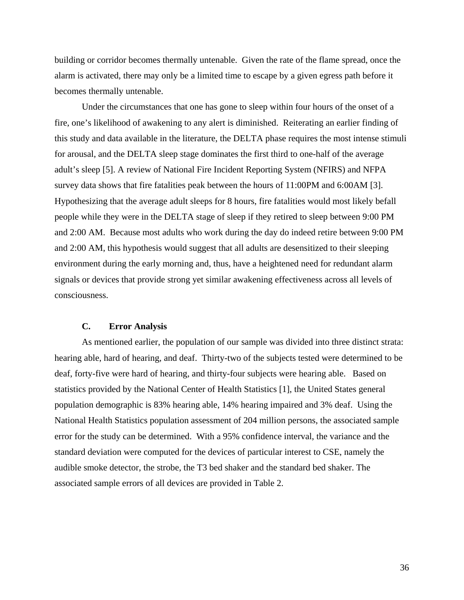building or corridor becomes thermally untenable. Given the rate of the flame spread, once the alarm is activated, there may only be a limited time to escape by a given egress path before it becomes thermally untenable.

Under the circumstances that one has g one to sleep within four hours of the onset of a fire, one's likelihood of awakening to any alert is diminished. Reiterating an earlier finding of signals or devices that provide strong yet similar awakening effectiveness across all levels of conscio usness. this study and data available in the literature, the DELTA phase requires the most intense stimuli for arousal, and the DELTA sleep stage dominates the first third to one-half of the average adult's sleep [5]. A review of National Fire Incident Reporting System (NFIRS) and NFPA survey data shows that fire fatalities peak between the hours of 11:00PM and 6:00AM [3]. Hypothesizing that the average adult sleeps for 8 hours, fire fatalities would most likely befall people while they were in the DELTA stage of sleep if they retired to sleep between 9:00 PM and 2:00 AM. Because most adults who work during the day do indeed retire between 9:00 PM and 2:00 AM, this hypothesis would suggest that all adults are desensitized to their sleeping environment during the early morning and, thus, have a heightened need for redundant alarm

### **C. Error Analysis**

As mentioned earlier, the population of our sample was divided into three distinct strata: hearing able, hard of hearing, and deaf. Thirty-two of the subjects tested were determined to be deaf, forty-five were hard of hearing, and thirty-four subjects were hearing able. Based on statistics provided by the National Center of Health Statistics [1], the United States general population demographic is 83% hearing able, 14% hearing impaired and 3% deaf. Using the National Health Statistics population assessment of 204 million persons, the associated sample error for the study can be determined. With a 95% confidence interval, the variance and the standard deviation were computed for the devices of particular interest to CSE, namely the audible smoke detector, the strobe, the T3 bed shaker and the standard bed shaker. The associated sample errors of all devices are provided in Table 2.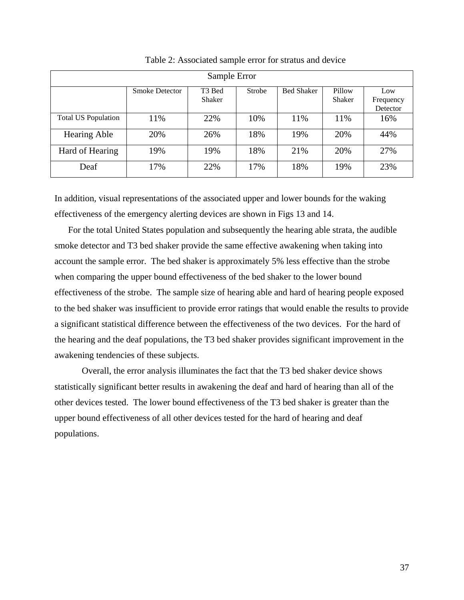| Sample Error               |                       |                              |        |                   |                  |                              |  |  |  |  |  |
|----------------------------|-----------------------|------------------------------|--------|-------------------|------------------|------------------------------|--|--|--|--|--|
|                            | <b>Smoke Detector</b> | T <sub>3</sub> Bed<br>Shaker | Strobe | <b>Bed Shaker</b> | Pillow<br>Shaker | Low<br>Frequency<br>Detector |  |  |  |  |  |
| <b>Total US Population</b> | 11%                   | 22%                          | 10%    | 11%               | 11%              | 16%                          |  |  |  |  |  |
| <b>Hearing Able</b>        | 20%                   | 26%                          | 18%    | 19%               | 20%              | 44%                          |  |  |  |  |  |
| Hard of Hearing            | 19%                   | 19%                          | 18%    | 21%               | 20%              | 27%                          |  |  |  |  |  |
| Deaf                       | 17%                   | 22%                          | 17%    | 18%               | 19%              | 23%                          |  |  |  |  |  |

Table 2: Associated sample error for stratus and device

In addition, visual representations of the associated upper and lower bounds for the waking effectiveness of the emergency alerting devices are shown in Figs 13 and 14.

For the total United States population and subsequently the hearing able strata, the audible smoke detector and T3 bed shaker provide the same effective awakening when taking into account the sample error. The bed shaker is approximately 5% less effective than the strobe when comparing the upper bound effectiveness of the bed shaker to the lower bound effectiveness of the strobe. The sample size of hearing able and hard of hearing people exposed to the bed shaker was insufficient to provide error ratings that would enable the results to provide a significant statistical difference between the effectiveness of the two devices. For the hard of the hea ring and the deaf populations, the T3 bed shaker provides significant improvement in the awakening tendencies of these subjects.

statistically significant better results in awakening the deaf and hard of hearing than all of the Overall, the error analysis illuminates the fact that the T3 bed shaker device shows other devices tested. The lower bound effectiveness of the T3 bed shaker is greater than the upper bound effectiveness of all other devices tested for the hard of hearing and deaf populations.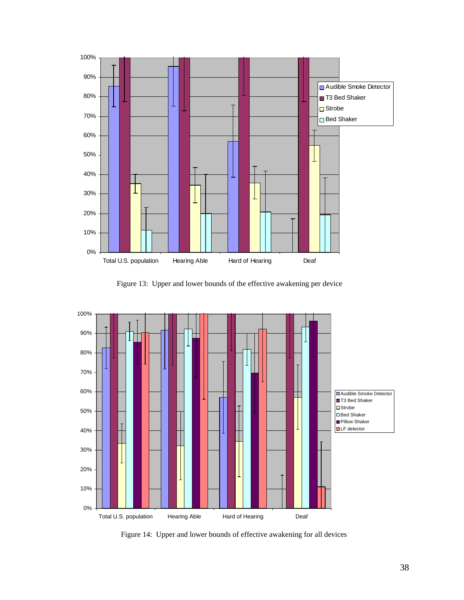

Figure 13: Upper and lower bounds of the effective awakening per device



Figure 14: Upper and lower bounds of effective awakening for all devices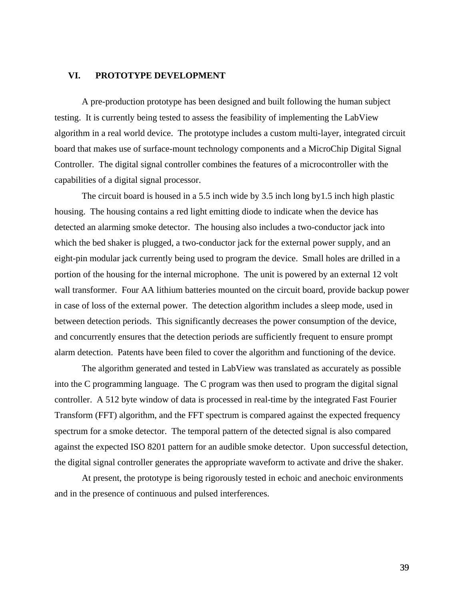## **VI. PROTOTYPE DEVELOPMENT**

A pre-production prototype has been designed and built following the human subject testing. It is currently being tested to assess the feasibility of implementing the LabView algorithm in a real world device. The prototype includes a custom multi-layer, integrated circuit board that makes use of surface-mount technology components and a MicroChip Digital Signal Controller. The digital signal controller combines the features of a microcontroller with the capabilities of a digital signal processor.

The circuit board is housed in a 5.5 inch wide by 3.5 inch long by1.5 inch high plastic housing. The housing contains a red light emitting diode to indicate when the device has detected an alarming smoke detector. The housing also includes a two-conductor jack into which the bed shaker is plugged, a two-conductor jack for the external power supply, and an eight-pin modular jack currently being used to program the device. Small holes are drilled in a portion of the housing for the internal microphone. The unit is powered by an external 12 volt wall transformer. Four AA lithium batteries mounted on the circuit board, provide backup power in case of loss of the external power. The detection algorithm includes a sleep mode, used in between detection periods. This significantly decreases the power consumption of the device, and concurrently ensures that the detection periods are sufficiently frequent to ensure prompt alarm detection. Patents have been filed to cover the algorithm and functioning of the device.

The algorithm generated and tested in LabView was translated as accurately as possible into the C programming language. The C program was then used to program the digital signal controller. A 512 byte window of data is processed in real-time by the integrated Fast Fourier Transform (FFT) algorithm, and the FFT spectrum is compared against the expected frequency spectrum for a smoke detector. The temporal pattern of the detected signal is also compared against the expected ISO 8201 pattern for an audible smoke detector. Upon successful detection, the digital signal controller generates the appropriate waveform to activate and drive the shaker.

At present, the prototype is being rigorously tested in echoic and anechoic environments and in the presence of continuous and pulsed interferences.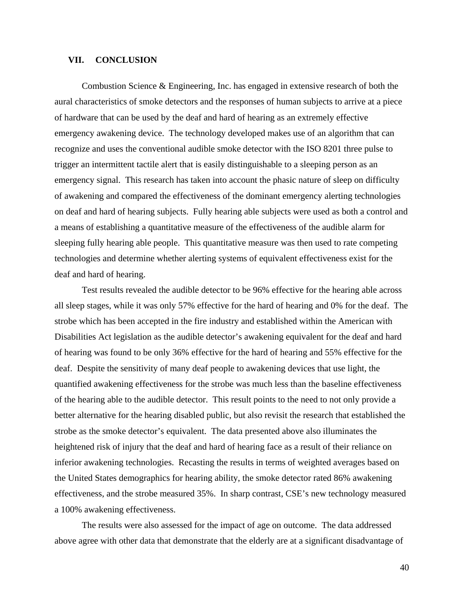### **VII. CONCLUSION**

Combustion Science & Engineering, Inc. has engaged in extensive research of both the aural characteristics of smoke detectors and the responses of human subjects to arrive at a piece emergency signal. This research has taken into account the phasic nature of sleep on difficulty of awak ening and compared the effectiveness of the dominant emergency alerting technologies on deaf and hard of hearing subjects. Fully hearing able subjects were used as both a control and of hardware that can be used by the deaf and hard of hearing as an extremely effective emergency awakening device. The technology developed makes use of an algorithm that can recognize and uses the conventional audible smoke detector with the ISO 8201 three pulse to trigger an intermittent tactile alert that is easily distinguishable to a sleeping person as an a means of establishing a quantitative measure of the effectiveness of the audible alarm for sleeping fully hearing able people. This quantitative measure was then used to rate competing technologies and determine whether alerting systems of equivalent effectiveness exist for the deaf and hard of hearing.

all sleep stages, while it was only 57% effective for the hard of hearing and 0% for the deaf. The Disabilities Act legislation as the audible detector's awakening equivalent for the deaf and hard deaf. D espite the sensitivity of many deaf people to awakening devices that use light, the the Un ited States demographics for hearing ability, the smoke detector rated 86% awakening effectiveness, and the strobe measured 35%. In sharp contrast, CSE's new technology measured a 100% awakening effectiveness. Test results revealed the audible detector to be 96% effective for the hearing able across strobe which has been accepted in the fire industry and established within the American with of hearing was found to be only 36% effective for the hard of hearing and 55% effective for the quantified awakening effectiveness for the strobe was much less than the baseline effectiveness of the hearing able to the audible detector. This result points to the need to not only provide a better alternative for the hearing disabled public, but also revisit the research that established the strobe as the smoke detector's equivalent. The data presented above also illuminates the heightened risk of injury that the deaf and hard of hearing face as a result of their reliance on inferior awakening technologies. Recasting the results in terms of weighted averages based on

The results were also assessed for the impact of age on outcome. The data addressed above agree with other data that demonstrate that the elderly are at a significant disadvantage of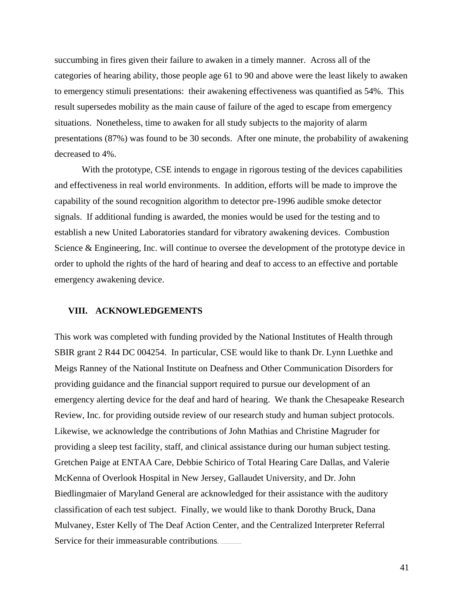succumbing in fires given their failure to awaken in a timely manner. Across all of the categories of hearing ability, those people age 61 to 90 and above were the least likely to awaken to emer gency stimuli presentations: their awakening effectiveness was quantified as 54%. This presentations (87%) was found to be 30 seconds. After one minute, the probability of awakening result supersedes mobility as the main cause of failure of the aged to escape from emergency situations. Nonetheless, time to awaken for all study subjects to the majority of alarm decreased to 4%.

With the prototype, CSE intends to engage in rigorous testing of the devices capabilities emergency awakening device. and effectiveness in real world environments. In addition, efforts will be made to improve the capability of the sound recognition algorithm to detector pre-1996 audible smoke detector signals. If additional funding is awarded, the monies would be used for the testing and to establish a new United Laboratories standard for vibratory awakening devices. Combustion Science & Engineering, Inc. will continue to oversee the development of the prototype device in order to uphold the rights of the hard of hearing and deaf to access to an effective and portable

#### **VIII. ACKNOWLEDGEMENTS**

Meigs Ranney of the National Institute on Deafness and Other Communication Disorders for emergency alerting device for the deaf and hard of hearing. We thank the Chesapeake Research classification of each test subject. Finally, we would like to thank Dorothy Bruck, Dana This work was completed with funding provided by the National Institutes of Health through SBIR grant 2 R44 DC 004254. In particular, CSE would like to thank Dr. Lynn Luethke and providing guidance and the financial support required to pursue our development of an Review, Inc. for providing outside review of our research study and human subject protocols. Likewise, we acknowledge the contributions of John Mathias and Christine Magruder for providing a sleep test facility, staff, and clinical assistance during our human subject testing. Gretchen Paige at ENTAA Care, Debbie Schirico of Total Hearing Care Dallas, and Valerie McKenna of Overlook Hospital in New Jersey, Gallaudet University, and Dr. John Biedlingmaier of Maryland General are acknowledged for their assistance with the auditory Mulvaney, Ester Kelly of The Deaf Action Center, and the Centralized Interpreter Referral Service for their immeasurable contributions.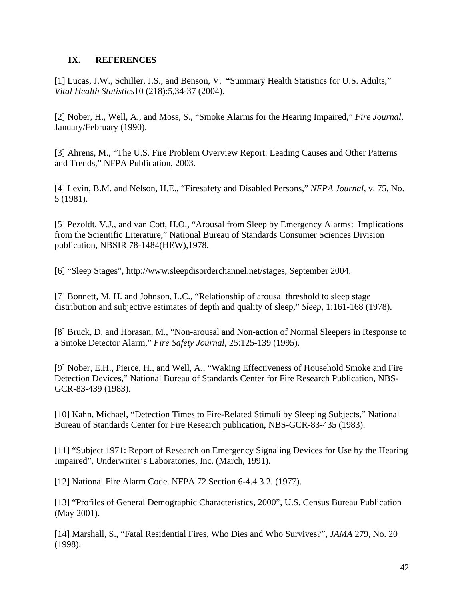# **IX. REFERENCES**

[1] Lucas, J.W., Schiller, J.S., and Benson, V. "Summary Health Statistics for U.S. Adults," *Vital Health Statistics*10 (218):5,34-37 (2004).

[2] Nober, H., Well, A., and Moss, S., "Smoke Alarms for the Hearing Impaired," *Fire Journal*, January/February (1990).

[3] Ahrens, M., "T he U.S. Fire Problem Overview Report: Leading Causes and Other Patterns and Trends," NFPA Publication, 2003.

. [4] Levin, B.M. and Nelson, H.E., "Firesafety and Disabled Persons," *NFPA Journal*, v. 75, No 5 (1981).

[5] Pezoldt, V.J., and van Cott, H.O., "Arousal from Sleep by Emergency Alarms: Implications from the Scientific Literature," National Bureau of Standards Consumer Sciences Division publication, NBSIR 78-1484(HEW),1978.

[6] "Sleep Stages", http://www.sleepdisorderchannel.net/stages, September 2004.

[7] Bonnett, M. H. and Johnson, L.C., "Relationship of arousal threshold to sleep stage distribution and subjective estimates of depth and quality of sleep," *Sleep*, 1:161-168 (1978).

[8] Bruck, D. and Horasan, M., "Non-arousal and Non-action of Normal Sleepers in Response to a Smoke Detector Alarm," *Fire Safety Journal*, 25:125-139 (1995).

[9] Nober, E.H., Pierce, H., and Well, A., "Waking Effectiveness of Household Smoke and Fire Detection Devices," National Bureau of Standards Center for Fire Research Publication, NBS-GCR-83-439 (1983).

[10] Kahn, Michael, "Detection Times to Fire-Related Stimuli by Sleeping Subjects," National Bureau of Standards Center for Fire Research publication, NBS-GCR-83-435 (1983).

[11] "Subject 1971: Report of Research on Emergency Signaling Devices for Use by the Hearing Impaired", Underwriter's Laboratories, Inc. (March, 1991).

[12] National Fire Alarm Code. NFPA 72 Section 6-4.4.3.2. (1977).

[13] "Profiles of General Demographic Characteristics, 2000", U.S. Census Bureau Publication (May 2001).

[14] Marshall, S., "Fatal Residential Fires, Who Dies and Who Survives?", *JAMA* 279, No. 20 (1998).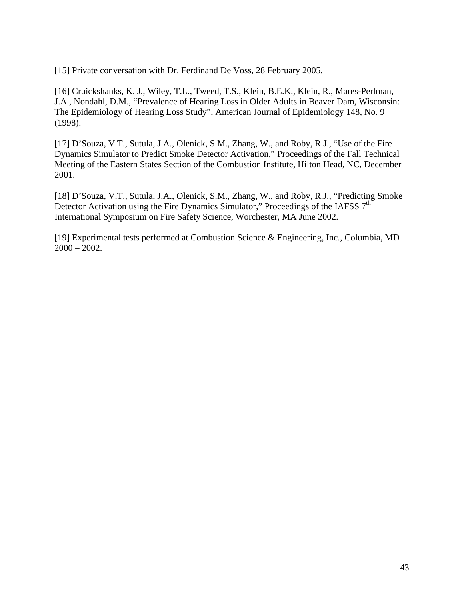[15] Private conversation with Dr. Ferdinand De Voss, 28 February 2005.

[16] Cruickshanks, K. J., Wiley, T.L., Tweed, T.S., Klein, B.E.K., Klein, R., Mares-Perlman, J.A., Nondahl, D.M., "Prevalence of Hearing Loss in Older Adults in Beaver Dam, Wisconsin: The Epidemiology of Hearing Loss Study", American Journal of Epidemiology 148, No. 9 (1998).

[17] D'Souza, V.T., Sutula, J.A., Olenick, S.M., Zhang, W., and Roby, R.J., "Use of the Fire Meeting of the Eastern States Section of the Combustion Institute, Hilton Head, NC, December 2001. Dynamics Simulator to Predict Smoke Detector Activation," Proceedings of the Fall Technical

Detector Activation using the Fire Dynamics Simulator," Proceedings of the IAFSS  $7<sup>th</sup>$ International Symposium on Fire Safety Science, Worchester, MA June 2002. [18] D'Souza, V.T., Sutula, J.A., Olenick, S.M., Zhang, W., and Roby, R.J., "Predicting Smoke

[19] Experimental tests performed at Combustion Science & Engineering, Inc., Columbia, MD  $2000 - 2002$ .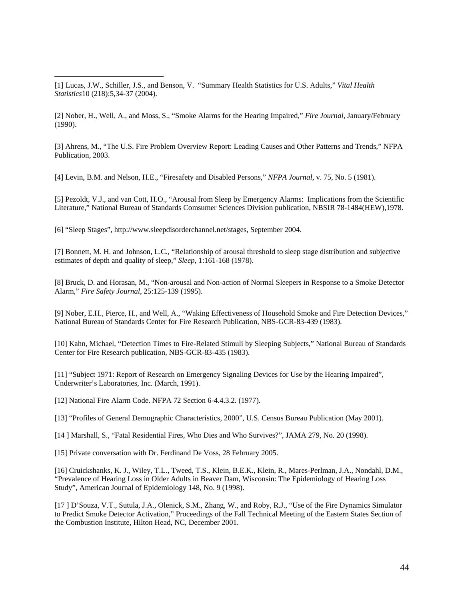[1] Lucas, J.W., Schiller, J.S., and Benson, V. "Summary Health Statistics for U.S. Adults," *Vital Health Statistics*10 (218):5,34-37 (2004).

[2] Nober, H., Well, A., and Moss, S., "Smoke Alarms for the Hearing Impaired," *Fire Journal*, January/February (1990).

[3] Ahrens, M., "The U.S. Fire Problem Overview Report: Leading Causes and Other Patterns and Trends," NFPA Publication, 2003.

[4] Levin, B.M. and Nelson, H.E., "Firesafety and Disabled Persons," *NFPA Journal*, v. 75, No. 5 (1981).

Literature," National Bureau of Standards Comsumer Sciences Division publication, NBSIR 78-1484(HEW),1978. [5] Pezoldt, V.J., and van Cott, H.O., "Arousal from Sleep by Emergency Alarms: Implications from the Scientific

[6] "Sleep Stages", http://www.sleepdisorderchannel.net/stages, September 2004.

[7] Bonnett, M. H. and Johnson, L.C., "Relationship of arousal threshold to sleep stage distribution and subjective estimates of depth and quality of sleep," *Sleep*, 1:161-168 (1978).

[8] Bruck, D. and Horasan, M., "Non-arousal and Non-action of Normal Sleepers in Response to a Smoke Detector Alarm," *Fire Safety Journal*, 25:125-139 (1995).

[9] Nober, E.H., Pierce, H., and Well, A., "Waking Effectiveness of Household Smoke and Fire Detection Devices," National Bureau of Standards Center for Fire Research Publication, NBS-GCR-83-439 (1983).

[10] Kahn, Michael, "Detection Times to Fire-Related Stimuli by Sleeping Subjects," National Bureau of Standards Center for Fire Research publication, NBS-GCR-83-435 (1983).

[11] "Subject 1971: Report of Research on Emergency Signaling Devices for Use by the Hearing Impaired", Underwriter's Laboratories, Inc. (March, 1991).

[12] National Fire Alarm Code. NFPA 72 Section 6-4.4.3.2. (1977).

[13] "Profiles of General Demographic Characteristics, 2000", U.S. Census Bureau Publication (May 2001).

[14 ] Marshall, S., "Fatal Residential Fires, Who Dies and Who Survives?", JAMA 279, No. 20 (1998).

[15] Private conversation with Dr. Ferdinand De Voss, 28 February 2005.

[16] Cruickshanks, K. J., Wiley, T.L., Tweed, T.S., Klein, B.E.K., Klein, R., Mares-Perlman, J.A., Nondahl, D.M., "Prevalence of Hearing Loss in Older Adults in Beaver Dam, Wisconsin: The Epidemiology of Hearing Loss Study", American Journal of Epidemiology 148, No. 9 (1998).

[17 ] D'Souza, V.T., Sutula, J.A., Olenick, S.M., Zhang, W., and Roby, R.J., "Use of the Fire Dynamics Simulator to Predict Smoke Detector Activation," Proceedings of the Fall Technical Meeting of the Eastern States Section of the Combustion Institute, Hilton Head, NC, December 2001.